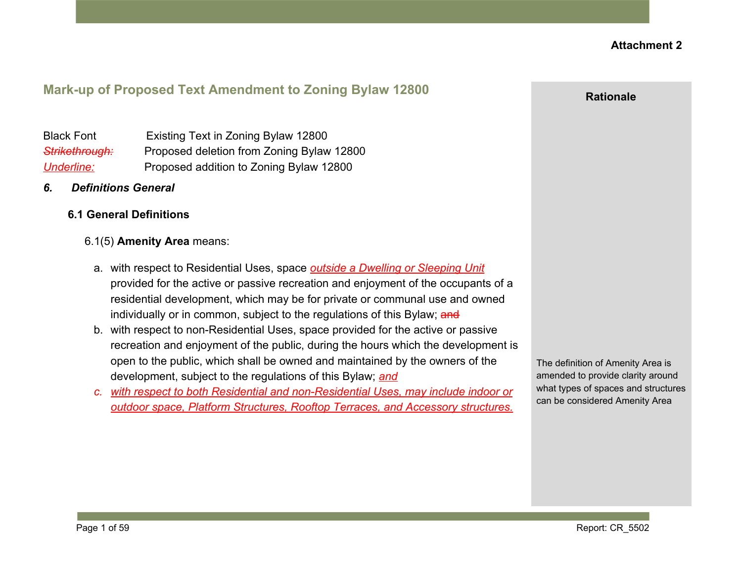# **Mark-up of Proposed Text Amendment to Zoning Bylaw 12800**

Black Font Existing Text in Zoning Bylaw 12800 *Strikethrough:* Proposed deletion from Zoning Bylaw 12800 *Underline:* Proposed addition to Zoning Bylaw 12800

- *6. Definitions General*
	- **6.1 General Definitions**

#### 6.1(5) **Amenity Area** means:

- a. with respect to Residential Uses, space *outside a Dwelling or Sleeping Unit* provided for the active or passive recreation and enjoyment of the occupants of a residential development, which may be for private or communal use and owned individually or in common, subject to the regulations of this Bylaw; and
- b. with respect to non-Residential Uses, space provided for the active or passive recreation and enjoyment of the public, during the hours which the development is open to the public, which shall be owned and maintained by the owners of the development, subject to the regulations of this Bylaw; *and*
- *c. with respect to both Residential and non-Residential Uses, may include indoor or outdoor space, Platform Structures, Rooftop Terraces, and Accessory structures.*

The definition of Amenity Area is amended to provide clarity around what types of spaces and structures can be considered Amenity Area

**Rationale**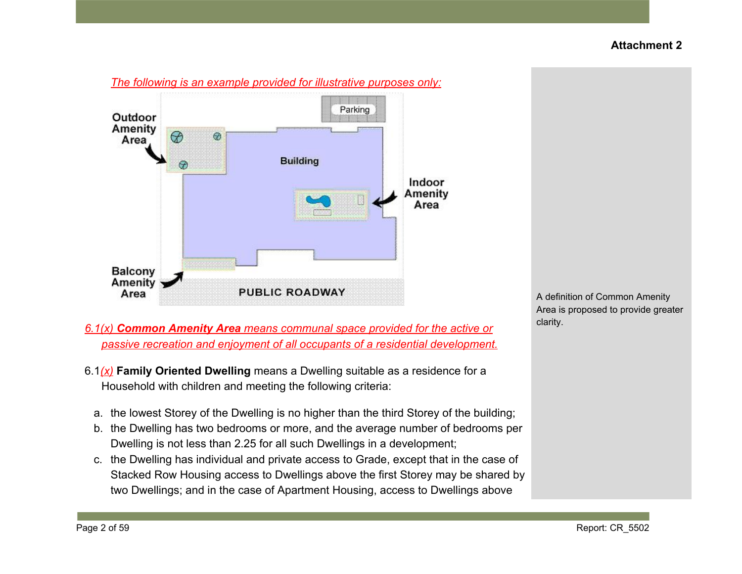

A definition of Common Amenity Area is proposed to provide greater clarity.

*6.1(x) Common Amenity Area means communal space provided for the active or passive recreation and enjoyment of all occupants of a residential development.*

- 6.1*(x)* **Family Oriented Dwelling** means a Dwelling suitable as a residence for a Household with children and meeting the following criteria:
	- a. the lowest Storey of the Dwelling is no higher than the third Storey of the building;
	- b. the Dwelling has two bedrooms or more, and the average number of bedrooms per Dwelling is not less than 2.25 for all such Dwellings in a development;
	- c. the Dwelling has individual and private access to Grade, except that in the case of Stacked Row Housing access to Dwellings above the first Storey may be shared by two Dwellings; and in the case of Apartment Housing, access to Dwellings above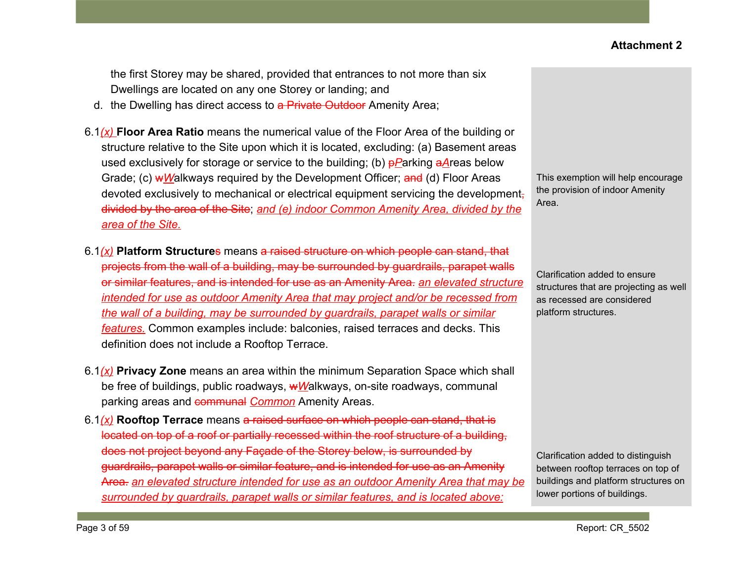the first Storey may be shared, provided that entrances to not more than six Dwellings are located on any one Storey or landing; and

- d. the Dwelling has direct access to a Private Outdoor Amenity Area;
- 6.1*(x)* **Floor Area Ratio** means the numerical value of the Floor Area of the building or structure relative to the Site upon which it is located, excluding: (a) Basement areas used exclusively for storage or service to the building; (b)  $pP$ arking  $aA$ reas below Grade; (c) wWalkways required by the Development Officer; and (d) Floor Areas devoted exclusively to mechanical or electrical equipment servicing the development, divided by the area of the Site; *and (e) indoor Common Amenity Area, divided by the area of the Site.*
- 6.1*(x)* **Platform Structure**s means a raised structure on which people can stand, that projects from the wall of a building, may be surrounded by guardrails, parapet walls or similar features, and is intended for use as an Amenity Area. *an elevated structure intended for use as outdoor Amenity Area that may project and/or be recessed from the wall of a building, may be surrounded by guardrails, parapet walls or similar features.* Common examples include: balconies, raised terraces and decks. This definition does not include a Rooftop Terrace.
- 6.1*(x)* **Privacy Zone** means an area within the minimum Separation Space which shall be free of buildings, public roadways, w*W*alkways, on-site roadways, communal parking areas and communal *Common* Amenity Areas.
- 6.1*(x)* **Rooftop Terrace** means a raised surface on which people can stand, that is located on top of a roof or partially recessed within the roof structure of a building, does not project beyond any Façade of the Storey below, is surrounded by guardrails, parapet walls or similar feature, and is intended for use as an Amenity Area. *an elevated structure intended for use as an outdoor Amenity Area that may be surrounded by guardrails, parapet walls or similar features, and is located above:*

This exemption will help encourage the provision of indoor Amenity Area.

Clarification added to ensure structures that are projecting as well as recessed are considered platform structures.

Clarification added to distinguish between rooftop terraces on top of buildings and platform structures on lower portions of buildings.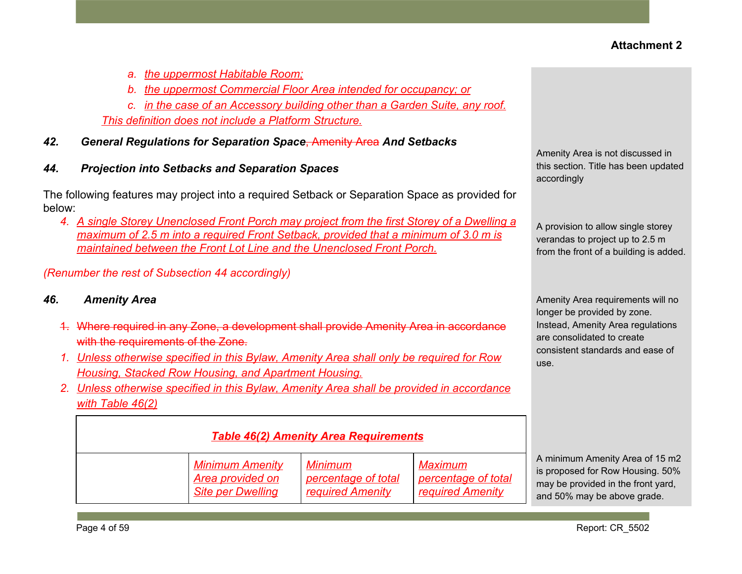- *a. the uppermost Habitable Room;*
- *b. the uppermost Commercial Floor Area intended for occupancy; or*

*c. in the case of an Accessory building other than a Garden Suite, any roof. This definition does not include a Platform Structure.*

- *42. General Regulations for Separation Space*, Amenity Area *And Setbacks*
- *44. Projection into Setbacks and Separation Spaces*

The following features may project into a required Setback or Separation Space as provided for below:

*4. A single Storey Unenclosed Front Porch may project from the first Storey of a Dwelling a maximum of 2.5 m into a required Front Setback, provided that a minimum of 3.0 m is maintained between the Front Lot Line and the Unenclosed Front Porch.*

*(Renumber the rest of Subsection 44 accordingly)*

### *46. Amenity Area*

- 1. Where required in any Zone, a development shall provide Amenity Area in accordance with the requirements of the Zone.
- *1. Unless otherwise specified in this Bylaw, Amenity Area shall only be required for Row Housing, Stacked Row Housing, and Apartment Housing.*
- *2. Unless otherwise specified in this Bylaw, Amenity Area shall be provided in accordance with Table 46(2)*

| <b>Table 46(2) Amenity Area Requirements</b> |                                                                        |                                                           |                                                           |                                                                                                                                          |
|----------------------------------------------|------------------------------------------------------------------------|-----------------------------------------------------------|-----------------------------------------------------------|------------------------------------------------------------------------------------------------------------------------------------------|
|                                              | <b>Minimum Amenity</b><br>Area provided on<br><b>Site per Dwelling</b> | Minimum<br>percentage of total<br><b>required Amenity</b> | Maximum<br>percentage of total<br><b>required Amenity</b> | A minimum Amenity Area of 15 m2<br>is proposed for Row Housing. 50%<br>may be provided in the front yard,<br>and 50% may be above grade. |

Amenity Area is not discussed in this section. Title has been updated accordingly

A provision to allow single storey verandas to project up to 2.5 m from the front of a building is added.

Amenity Area requirements will no longer be provided by zone. Instead, Amenity Area regulations are consolidated to create consistent standards and ease of use.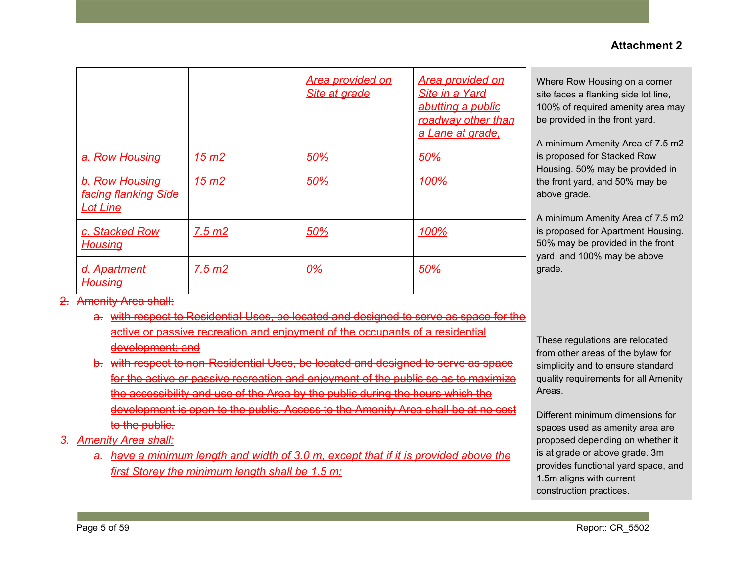|                                                                         |                  | <b>Area provided on</b><br><b>Site at grade</b> | <b>Area provided on</b><br>Site in a Yard<br>abutting a public<br>roadway other than<br>a Lane at grade. |
|-------------------------------------------------------------------------|------------------|-------------------------------------------------|----------------------------------------------------------------------------------------------------------|
| a. Row Housing                                                          | 15 m2            | 50%                                             | 50%                                                                                                      |
| <b>b. Row Housing</b><br><b>facing flanking Side</b><br><b>Lot Line</b> | 15 <sub>m2</sub> | 50%                                             | 100%                                                                                                     |
| c. Stacked Row<br><b>Housing</b>                                        | 7.5 m2           | 50%                                             | 100%                                                                                                     |
| d. Apartment<br><b>Housing</b>                                          | 7.5 m2           | <u>0%</u>                                       | 50%                                                                                                      |

- 2. Amenity Area shall:
	- a. with respect to Residential Uses, be located and designed to serve as space for the active or passive recreation and enjoyment of the occupants of a residential development; and
	- b. with respect to non-Residential Uses, be located and designed to serve as space for the active or passive recreation and enjoyment of the public so as to maximize the accessibility and use of the Area by the public during the hours which the development is open to the public. Access to the Amenity Area shall be to the public.
- *3. Amenity Area shall:*
	- *a. have a minimum length and width of 3.0 m, except that if it is provided above the first Storey the minimum length shall be 1.5 m;*

Where Row Housing on a corner site faces a flanking side lot line, 100% of required amenity area may be provided in the front yard.

A minimum Amenity Area of 7.5 m2 is proposed for Stacked Row Housing. 50% may be provided in the front yard, and 50% may be above grade.

A minimum Amenity Area of 7.5 m2 is proposed for Apartment Housing. 50% may be provided in the front yard, and 100% may be above grade.

These regulations are relocated from other areas of the bylaw for simplicity and to ensure standard quality requirements for all Amenity Areas.

Different minimum dimensions for spaces used as amenity area are proposed depending on whether it is at grade or above grade. 3m provides functional yard space, and 1.5m aligns with current construction practices.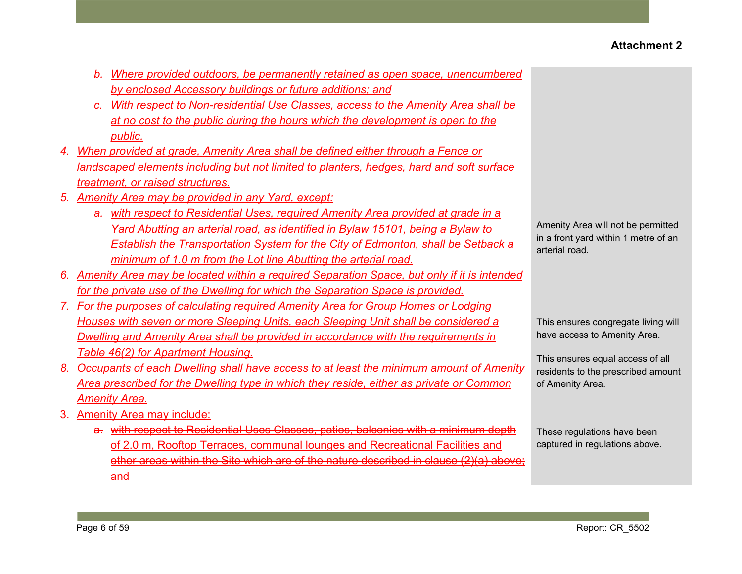- *b. Where provided outdoors, be permanently retained as open space, unencumbered by enclosed Accessory buildings or future additions; and*
- *c. With respect to Non-residential Use Classes, access to the Amenity Area shall be at no cost to the public during the hours which the development is open to the public.*
- *4. When provided at grade, Amenity Area shall be defined either through a Fence or landscaped elements including but not limited to planters, hedges, hard and soft surface treatment, or raised structures.*
- *5. Amenity Area may be provided in any Yard, except:*
	- *a. with respect to Residential Uses, required Amenity Area provided at grade in a Yard Abutting an arterial road, as identified in Bylaw 15101, being a Bylaw to Establish the Transportation System for the City of Edmonton, shall be Setback a minimum of 1.0 m from the Lot line Abutting the arterial road.*
- *6. Amenity Area may be located within a required Separation Space, but only if it is intended for the private use of the Dwelling for which the Separation Space is provided.*
- *7. For the purposes of calculating required Amenity Area for Group Homes or Lodging Houses with seven or more Sleeping Units, each Sleeping Unit shall be considered a Dwelling and Amenity Area shall be provided in accordance with the requirements in Table 46(2) for Apartment Housing.*
- *8. Occupants of each Dwelling shall have access to at least the minimum amount of Amenity Area prescribed for the Dwelling type in which they reside, either as private or Common Amenity Area.*
- 3. Amenity Area may include:
	- a. with respect to Residential Uses Classes, patios, balconies with a minimum depth of 2.0 m, Rooftop Terraces, communal lounges and Recreational Facilities and other areas within the Site which are of the nature described in clause (2)(a) above; and

Amenity Area will not be permitted in a front yard within 1 metre of an arterial road.

This ensures congregate living will have access to Amenity Area.

This ensures equal access of all residents to the prescribed amount of Amenity Area.

These regulations have been captured in regulations above.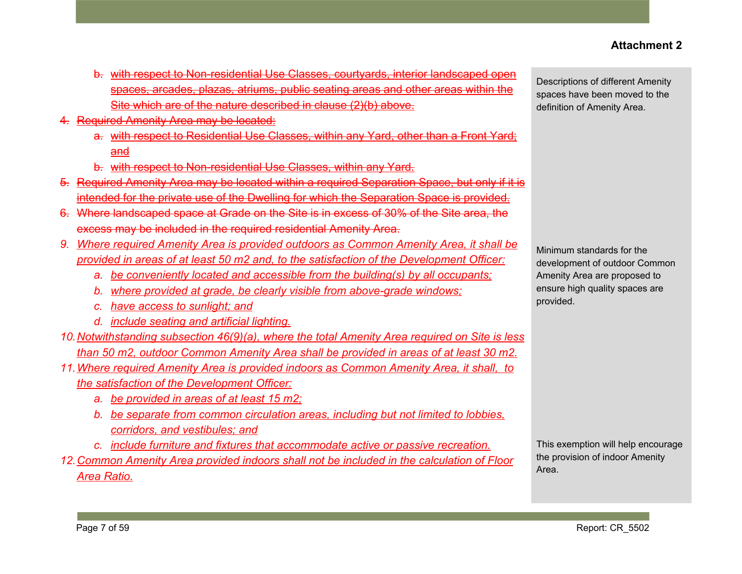- b. with respect to Non-residential Use Classes, courtyards, interior landscaped open spaces, arcades, plazas, atriums, public seating areas and other areas within the Site which are of the nature described in clause (2)(b) above.
- 4. Required Amenity Area may be located:
	- a. with respect to Residential Use Classes, within any Yard, other than a Front Yard; and
	- b. with respect to Non-residential Use Classes, within any Yard.
- 5. Required Amenity Area may be located within a required Separation Space, but only if it is intended for the private use of the Dwelling for which the Separation Space is provided.
- 6. Where landscaped space at Grade on the Site is in excess of 30% of the Site area, the excess may be included in the required residential Amenity Area.
- *9. Where required Amenity Area is provided outdoors as Common Amenity Area, it shall be provided in areas of at least 50 m2 and, to the satisfaction of the Development Officer:*
	- *a. be conveniently located and accessible from the building(s) by all occupants;*
	- *b. where provided at grade, be clearly visible from above-grade windows;*
	- *c. have access to sunlight; and*
	- *d. include seating and artificial lighting.*
- *10.Notwithstanding subsection 46(9)(a), where the total Amenity Area required on Site is less than 50 m2, outdoor Common Amenity Area shall be provided in areas of at least 30 m2.*
- *11.Where required Amenity Area is provided indoors as Common Amenity Area, it shall, to the satisfaction of the Development Officer:*
	- *a. be provided in areas of at least 15 m2;*
	- *b. be separate from common circulation areas, including but not limited to lobbies, corridors, and vestibules; and*
	- *c. include furniture and fixtures that accommodate active or passive recreation.*
- *12.Common Amenity Area provided indoors shall not be included in the calculation of Floor Area Ratio.*

Descriptions of different Amenity spaces have been moved to the definition of Amenity Area.

Minimum standards for the development of outdoor Common Amenity Area are proposed to ensure high quality spaces are provided.

This exemption will help encourage the provision of indoor Amenity Area.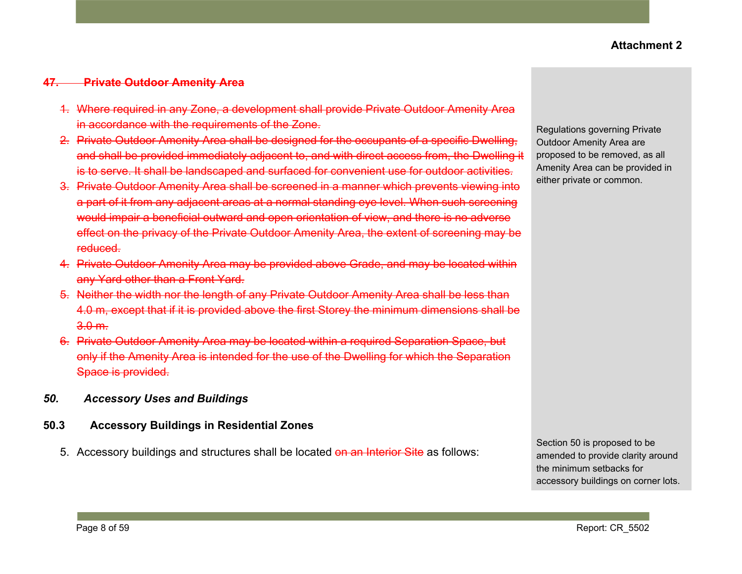#### **47. Private Outdoor Amenity Area**

- 1. Where required in any Zone, a development shall provide Private Outdoor Amenity Area in accordance with the requirements of the Zone.
- 2. Private Outdoor Amenity Area shall be designed for the occupants of a specific Dwelling, and shall be provided immediately adjacent to, and with direct access from, the Dwelling it is to serve. It shall be landscaped and surfaced for convenient use for outdoor activities.
- 3. Private Outdoor Amenity Area shall be screened in a manner which prevents viewing into a part of it from any adjacent areas at a normal standing eye level. When such screening would impair a beneficial outward and open orientation of view, and there is no adverse effect on the privacy of the Private Outdoor Amenity Area, the extent of screening may be reduced.
- 4. Private Outdoor Amenity Area may be provided above Grade, and may be located within any Yard other than a Front Yard.
- 5. Neither the width nor the length of any Private Outdoor Amenity Area shall be less than 4.0 m, except that if it is provided above the first Storey the minimum dimensions shall be 3.0 m.
- 6. Private Outdoor Amenity Area may be located within a required Separation Space, but only if the Amenity Area is intended for the use of the Dwelling for which the Separation Space is provided.
- *50. Accessory Uses and Buildings*

#### **50.3 Accessory Buildings in Residential Zones**

5. Accessory buildings and structures shall be located on an Interior Site as follows:

Regulations governing Private Outdoor Amenity Area are proposed to be removed, as all Amenity Area can be provided in either private or common.

Section 50 is proposed to be amended to provide clarity around the minimum setbacks for accessory buildings on corner lots.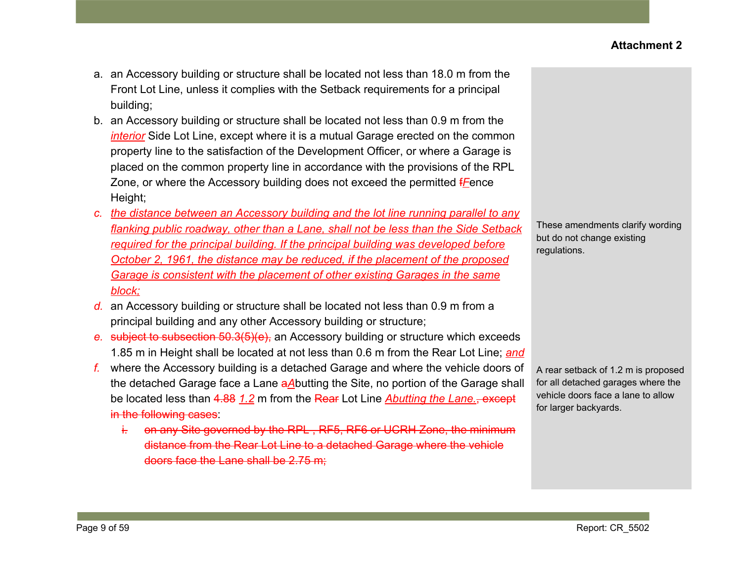- a. an Accessory building or structure shall be located not less than 18.0 m from the Front Lot Line, unless it complies with the Setback requirements for a principal building;
- b. an Accessory building or structure shall be located not less than 0.9 m from the *interior* Side Lot Line, except where it is a mutual Garage erected on the common property line to the satisfaction of the Development Officer, or where a Garage is placed on the common property line in accordance with the provisions of the RPL Zone, or where the Accessory building does not exceed the permitted f*F*ence Height;
- *c. the distance between an Accessory building and the lot line running parallel to any flanking public roadway, other than a Lane, shall not be less than the Side Setback required for the principal building. If the principal building was developed before October 2, 1961, the distance may be reduced, if the placement of the proposed Garage is consistent with the placement of other existing Garages in the same block;*
- *d.* an Accessory building or structure shall be located not less than 0.9 m from a principal building and any other Accessory building or structure;
- *e.* subject to subsection 50.3(5)(e), an Accessory building or structure which exceeds 1.85 m in Height shall be located at not less than 0.6 m from the Rear Lot Line; *and*
- *f.* where the Accessory building is a detached Garage and where the vehicle doors of the detached Garage face a Lane a*A*butting the Site, no portion of the Garage shall be located less than 4.88 *1.2* m from the Rear Lot Line *Abutting the Lane.*, except in the following cases:
	- i. on any Site governed by the RPL, RF5, RF6 or UCRH Zone, the minimum distance from the Rear Lot Line to a detached Garage where the vehicle doors face the Lane shall be 2.75 m;

These amendments clarify wording but do not change existing regulations.

A rear setback of 1.2 m is proposed for all detached garages where the vehicle doors face a lane to allow for larger backyards.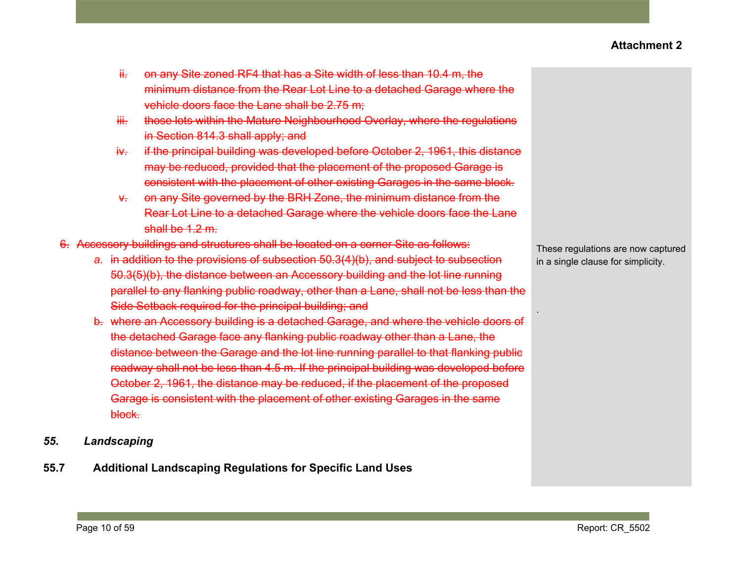- ii. on any Site zoned RF4 that has a Site width of less than 10.4 m, the minimum distance from the Rear Lot Line to a detached Garage where the vehicle doors face the Lane shall be 2.75 m;
- iii. those lots within the Mature Neighbourhood Overlay, where the regulations in Section 814.3 shall apply; and
- iv. if the principal building was developed before October 2, 1961, this distance may be reduced, provided that the placement of the proposed Garage is consistent with the placement of other existing Garages in the same block.
- v. on any Site governed by the BRH Zone, the minimum distance from the Rear Lot Line to a detached Garage where the vehicle doors face the Lane shall be 1.2 m.
- 6. Accessory buildings and structures shall be located on a corner Site as follows:
	- *a.* in addition to the provisions of subsection 50.3(4)(b), and subject to subsection 50.3(5)(b), the distance between an Accessory building and the lot line running parallel to any flanking public roadway, other than a Lane, shall not be less than the Side Setback required for the principal building; and
	- b. where an Accessory building is a detached Garage, and where the vehicle doors of the detached Garage face any flanking public roadway other than a Lane, the distance between the Garage and the lot line running parallel to that flanking public roadway shall not be less than 4.5 m. If the principal building was developed before October 2, 1961, the distance may be reduced, if the placement of the proposed Garage is consistent with the placement of other existing Garages in the same block.
- *55. Landscaping*
- **55.7 Additional Landscaping Regulations for Specific Land Uses**

These regulations are now captured in a single clause for simplicity.

.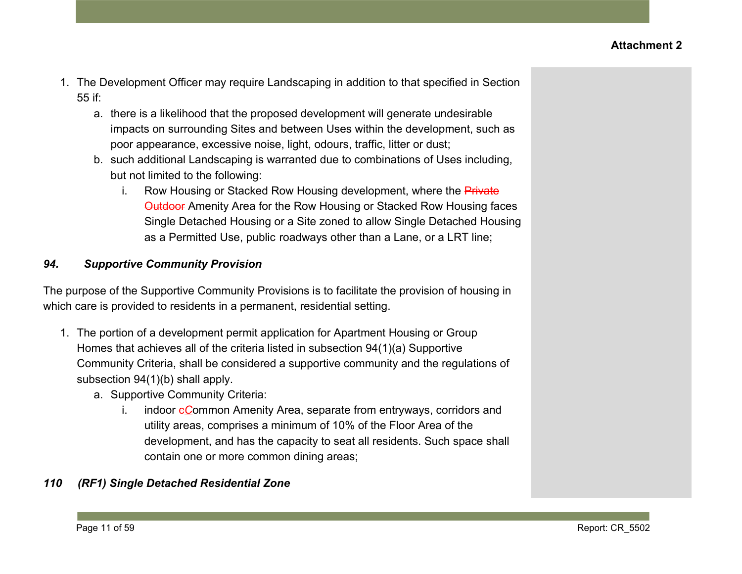- 1. The Development Officer may require Landscaping in addition to that specified in Section 55 if:
	- a. there is a likelihood that the proposed development will generate undesirable impacts on surrounding Sites and between Uses within the development, such as poor appearance, excessive noise, light, odours, traffic, litter or dust;
	- b. such additional Landscaping is warranted due to combinations of Uses including, but not limited to the following:
		- i. Row Housing or Stacked Row Housing development, where the Private Outdoor Amenity Area for the Row Housing or Stacked Row Housing faces Single Detached Housing or a Site zoned to allow Single Detached Housing as a Permitted Use, public roadways other than a Lane, or a LRT line;

## *94. Supportive Community Provision*

The purpose of the Supportive Community Provisions is to facilitate the provision of housing in which care is provided to residents in a permanent, residential setting.

- 1. The portion of a development permit application for Apartment Housing or Group Homes that achieves all of the criteria listed in subsection 94(1)(a) Supportive Community Criteria, shall be considered a supportive community and the regulations of subsection 94(1)(b) shall apply.
	- a. Supportive Community Criteria:
		- i. indoor eCommon Amenity Area, separate from entryways, corridors and utility areas, comprises a minimum of 10% of the Floor Area of the development, and has the capacity to seat all residents. Such space shall contain one or more common dining areas;

## *110 (RF1) Single Detached Residential Zone*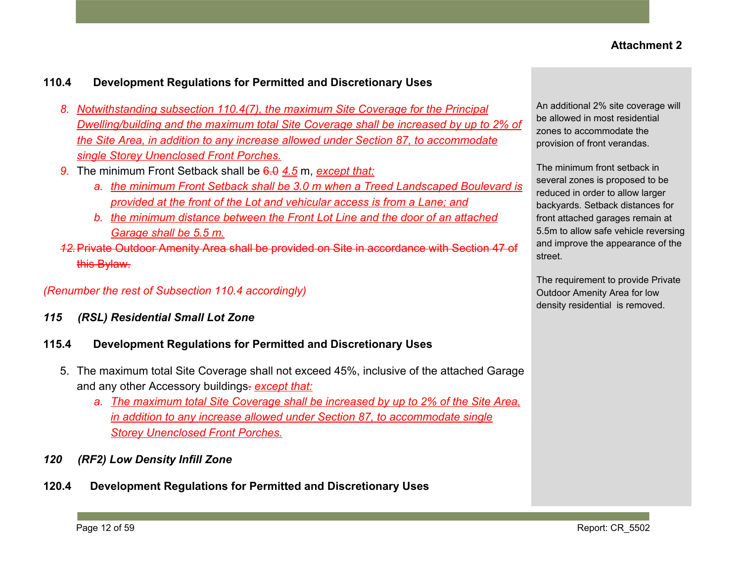### **110.4 Development Regulations for Permitted and Discretionary Uses**

- *8. Notwithstanding subsection 110.4(7), the maximum Site Coverage for the Principal Dwelling/building and the maximum total Site Coverage shall be increased by up to 2% of the Site Area, in addition to any increase allowed under Section 87, to accommodate single Storey Unenclosed Front Porches.*
- *9.* The minimum Front Setback shall be 6.0 *4.5* m, *except that:*
	- *a. the minimum Front Setback shall be 3.0 m when a Treed Landscaped Boulevard is provided at the front of the Lot and vehicular access is from a Lane; and*
	- *b. the minimum distance between the Front Lot Line and the door of an attached Garage shall be 5.5 m.*
- *12.*Private Outdoor Amenity Area shall be provided on Site in accordance with Section 47 of this Bylaw.

### *(Renumber the rest of Subsection 110.4 accordingly)*

*115 (RSL) Residential Small Lot Zone*

#### **115.4 Development Regulations for Permitted and Discretionary Uses**

- 5. The maximum total Site Coverage shall not exceed 45%, inclusive of the attached Garage and any other Accessory buildings. *except that:*
	- *a. The maximum total Site Coverage shall be increased by up to 2% of the Site Area, in addition to any increase allowed under Section 87, to accommodate single Storey Unenclosed Front Porches.*
- *120 (RF2) Low Density Infill Zone*
- **120.4 Development Regulations for Permitted and Discretionary Uses**

An additional 2% site coverage will be allowed in most residential zones to accommodate the provision of front verandas.

The minimum front setback in several zones is proposed to be reduced in order to allow larger backyards. Setback distances for front attached garages remain at 5.5m to allow safe vehicle reversing and improve the appearance of the street.

The requirement to provide Private Outdoor Amenity Area for low density residential is removed.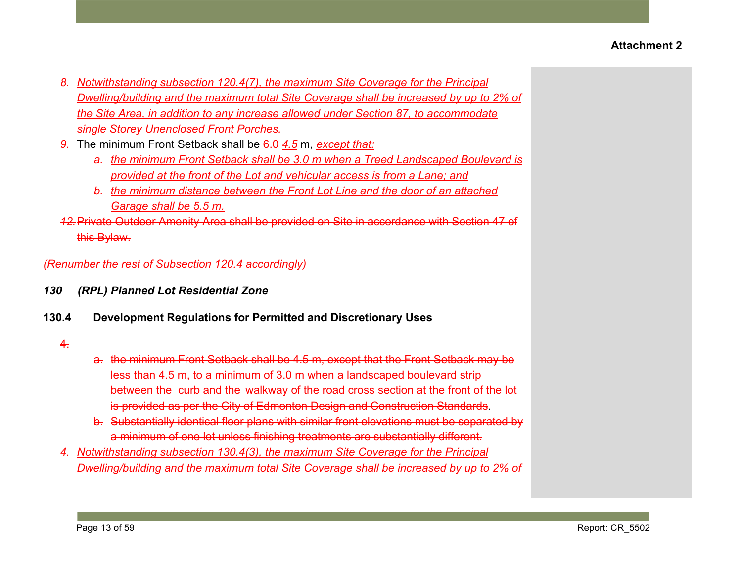- *8. Notwithstanding subsection 120.4(7), the maximum Site Coverage for the Principal Dwelling/building and the maximum total Site Coverage shall be increased by up to 2% of the Site Area, in addition to any increase allowed under Section 87, to accommodate single Storey Unenclosed Front Porches.*
- *9.* The minimum Front Setback shall be 6.0 *4.5* m, *except that:*
	- *a. the minimum Front Setback shall be 3.0 m when a Treed Landscaped Boulevard is provided at the front of the Lot and vehicular access is from a Lane; and*
	- *b. the minimum distance between the Front Lot Line and the door of an attached Garage shall be 5.5 m.*
- *12.*Private Outdoor Amenity Area shall be provided on Site in accordance with Section 47 of this Bylaw.

*(Renumber the rest of Subsection 120.4 accordingly)*

- *130 (RPL) Planned Lot Residential Zone*
- **130.4 Development Regulations for Permitted and Discretionary Uses**

### $4.$

- a. the minimum Front Setback shall be 4.5 m, except that the Front Setback may be less than 4.5 m, to a minimum of 3.0 m when a landscaped boulevard strip between the curb and the walkway of the road cross section at the front of the lot is provided as per the City of Edmonton Design and Construction Standards.
- b. Substantially identical floor plans with similar front elevations must be separated by a minimum of one lot unless finishing treatments are substantially different.
- *4. Notwithstanding subsection 130.4(3), the maximum Site Coverage for the Principal Dwelling/building and the maximum total Site Coverage shall be increased by up to 2% of*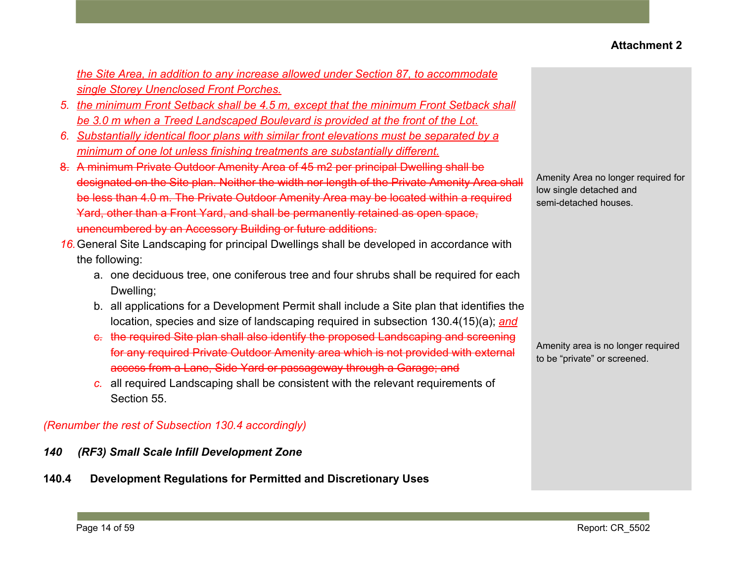*the Site Area, in addition to any increase allowed under Section 87, to accommodate single Storey Unenclosed Front Porches.*

- *5. the minimum Front Setback shall be 4.5 m, except that the minimum Front Setback shall be 3.0 m when a Treed Landscaped Boulevard is provided at the front of the Lot.*
- *6. Substantially identical floor plans with similar front elevations must be separated by a minimum of one lot unless finishing treatments are substantially different.*
- 8. A minimum Private Outdoor Amenity Area of 45 m2 per principal Dwelling shall be designated on the Site plan. Neither the width nor length of the Private Amenity Area shall be less than 4.0 m. The Private Outdoor Amenity Area may be located within a required Yard, other than a Front Yard, and shall be permanently retained as open space, unencumbered by an Accessory Building or future additions.
- *16.*General Site Landscaping for principal Dwellings shall be developed in accordance with the following:
	- a. one deciduous tree, one coniferous tree and four shrubs shall be required for each Dwelling;
	- b. all applications for a Development Permit shall include a Site plan that identifies the location, species and size of landscaping required in subsection 130.4(15)(a); *and*
	- c. the required Site plan shall also identify the proposed Landscaping and screening for any required Private Outdoor Amenity area which is not provided with external access from a Lane, Side Yard or passageway through a Garage; and
	- *c.* all required Landscaping shall be consistent with the relevant requirements of Section 55.

### *(Renumber the rest of Subsection 130.4 accordingly)*

- *140 (RF3) Small Scale Infill Development Zone*
- **140.4 Development Regulations for Permitted and Discretionary Uses**

Amenity Area no longer required for low single detached and semi-detached houses.

Amenity area is no longer required to be "private" or screened.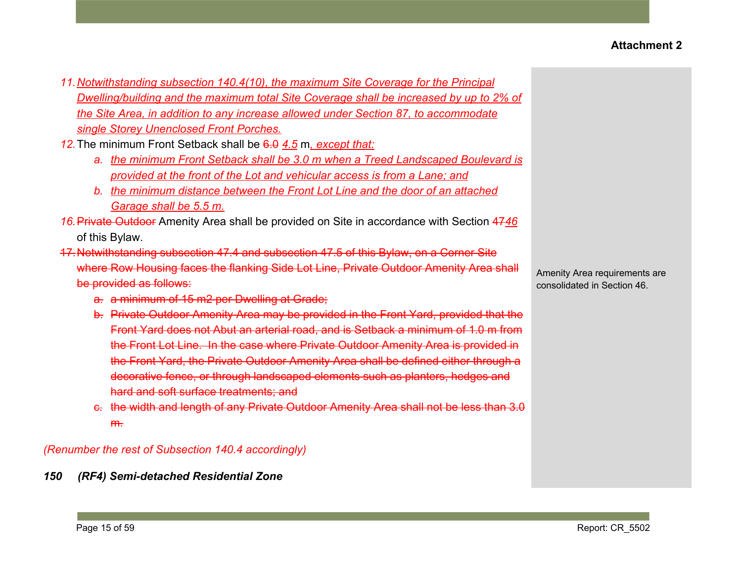- *11.Notwithstanding subsection 140.4(10), the maximum Site Coverage for the Principal Dwelling/building and the maximum total Site Coverage shall be increased by up to 2% of the Site Area, in addition to any increase allowed under Section 87, to accommodate single Storey Unenclosed Front Porches.*
- *12.*The minimum Front Setback shall be 6.0 *4.5* m*, except that:*
	- *a. the minimum Front Setback shall be 3.0 m when a Treed Landscaped Boulevard is provided at the front of the Lot and vehicular access is from a Lane; and*
	- *b. the minimum distance between the Front Lot Line and the door of an attached Garage shall be 5.5 m.*
- *16.*Private Outdoor Amenity Area shall be provided on Site in accordance with Section 47*46* of this Bylaw.
- 17.Notwithstanding subsection 47.4 and subsection 47.5 of this Bylaw, on a Corner Site where Row Housing faces the flanking Side Lot Line, Private Outdoor Amenity Area shall be provided as follows:
	- a. a minimum of 15 m2 per Dwelling at Grade;
	- b. Private Outdoor Amenity Area may be provided in the Front Yard, provided that the Front Yard does not Abut an arterial road, and is Setback a minimum of 1.0 m from the Front Lot Line. In the case where Private Outdoor Amenity Area is provided in the Front Yard, the Private Outdoor Amenity Area shall be defined either through a decorative fence, or through landscaped elements such as planters, hedges and hard and soft surface treatments; and
	- c. the width and length of any Private Outdoor Amenity Area shall not be less than 3.0 m.

*(Renumber the rest of Subsection 140.4 accordingly)*

*150 (RF4) Semi-detached Residential Zone*

Amenity Area requirements are consolidated in Section 46.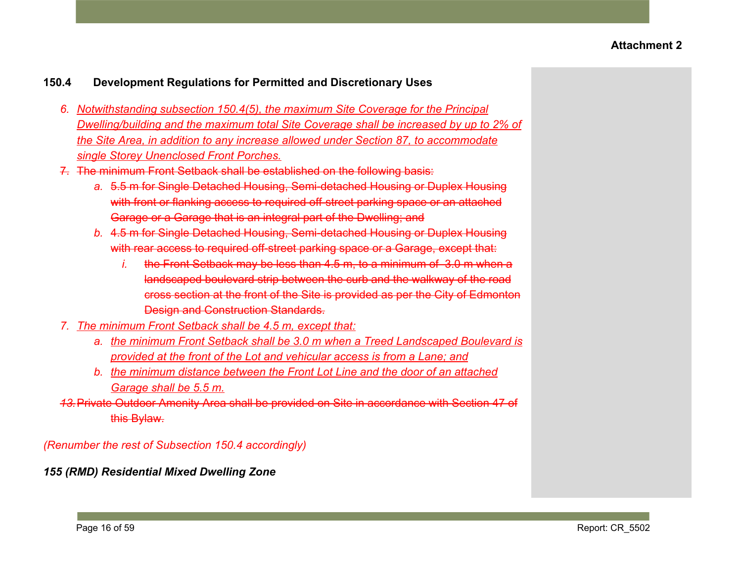### **150.4 Development Regulations for Permitted and Discretionary Uses**

- *6. Notwithstanding subsection 150.4(5), the maximum Site Coverage for the Principal Dwelling/building and the maximum total Site Coverage shall be increased by up to 2% of the Site Area, in addition to any increase allowed under Section 87, to accommodate single Storey Unenclosed Front Porches.*
- 7. The minimum Front Setback shall be established on the following basis:
	- *a.* 5.5 m for Single Detached Housing, Semi-detached Housing or Duplex Housing with front or flanking access to required off-street parking space or an attached Garage or a Garage that is an integral part of the Dwelling; and
	- *b.* 4.5 m for Single Detached Housing, Semi-detached Housing or Duplex Housing with rear access to required off-street parking space or a Garage, except that:
		- *i.* the Front Setback may be less than 4.5 m, to a minimum of 3.0 m when a landscaped boulevard strip between the curb and the walkway of the road cross section at the front of the Site is provided as per the City of Edmonton Design and Construction Standards.
- *7. The minimum Front Setback shall be 4.5 m, except that:*
	- *a. the minimum Front Setback shall be 3.0 m when a Treed Landscaped Boulevard is provided at the front of the Lot and vehicular access is from a Lane; and*
	- *b. the minimum distance between the Front Lot Line and the door of an attached Garage shall be 5.5 m.*
- *13.*Private Outdoor Amenity Area shall be provided on Site in accordance with Section 47 of this Bylaw.

*(Renumber the rest of Subsection 150.4 accordingly)*

*155 (RMD) Residential Mixed Dwelling Zone*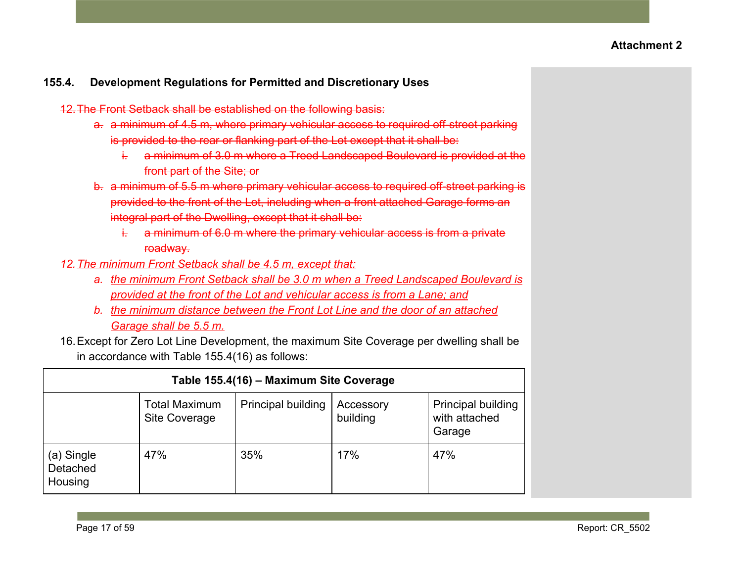- 12.The Front Setback shall be established on the following basis:
	- a. a minimum of 4.5 m, where primary vehicular access to required off-street parking is provided to the rear or flanking part of the Lot except that it shall be:
		- i. a minimum of 3.0 m where a Treed Landscaped Boulevard is provided at the front part of the Site; or
	- b. a minimum of 5.5 m where primary vehicular access to required off-street parking is provided to the front of the Lot, including when a front attached Garage forms an integral part of the Dwelling, except that it shall be:
		- i. a minimum of 6.0 m where the primary vehicular access is from a private roadway.
- *12.The minimum Front Setback shall be 4.5 m, except that:*
	- *a. the minimum Front Setback shall be 3.0 m when a Treed Landscaped Boulevard is provided at the front of the Lot and vehicular access is from a Lane; and*
	- *b. the minimum distance between the Front Lot Line and the door of an attached Garage shall be 5.5 m.*
- 16.Except for Zero Lot Line Development, the maximum Site Coverage per dwelling shall be in accordance with Table 155.4(16) as follows:

|                                   | Table 155.4(16) - Maximum Site Coverage |                           |                       |                                                      |
|-----------------------------------|-----------------------------------------|---------------------------|-----------------------|------------------------------------------------------|
|                                   | <b>Total Maximum</b><br>Site Coverage   | <b>Principal building</b> | Accessory<br>building | <b>Principal building</b><br>with attached<br>Garage |
| (a) Single<br>Detached<br>Housing | 47%                                     | 35%                       | 17%                   | 47%                                                  |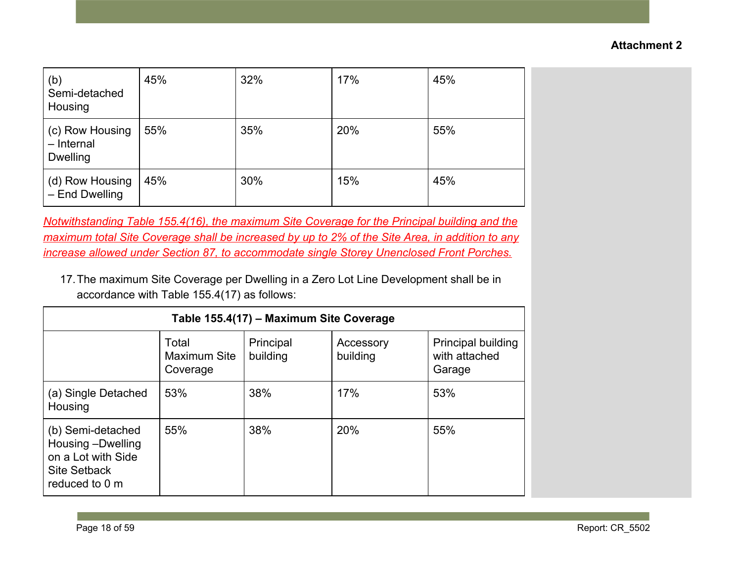| (b)<br>Semi-detached<br>Housing                  | 45% | 32% | 17% | 45% |
|--------------------------------------------------|-----|-----|-----|-----|
| (c) Row Housing<br>- Internal<br><b>Dwelling</b> | 55% | 35% | 20% | 55% |
| (d) Row Housing<br>- End Dwelling                | 45% | 30% | 15% | 45% |

*Notwithstanding Table 155.4(16), the maximum Site Coverage for the Principal building and the maximum total Site Coverage shall be increased by up to 2% of the Site Area, in addition to any increase allowed under Section 87, to accommodate single Storey Unenclosed Front Porches.*

17.The maximum Site Coverage per Dwelling in a Zero Lot Line Development shall be in accordance with Table 155.4(17) as follows:

|                                                                                                       | Table 155.4(17) - Maximum Site Coverage  |                       |                       |                                               |
|-------------------------------------------------------------------------------------------------------|------------------------------------------|-----------------------|-----------------------|-----------------------------------------------|
|                                                                                                       | Total<br><b>Maximum Site</b><br>Coverage | Principal<br>building | Accessory<br>building | Principal building<br>with attached<br>Garage |
| (a) Single Detached<br>Housing                                                                        | 53%                                      | 38%                   | 17%                   | 53%                                           |
| (b) Semi-detached<br>Housing -Dwelling<br>on a Lot with Side<br><b>Site Setback</b><br>reduced to 0 m | 55%                                      | 38%                   | 20%                   | 55%                                           |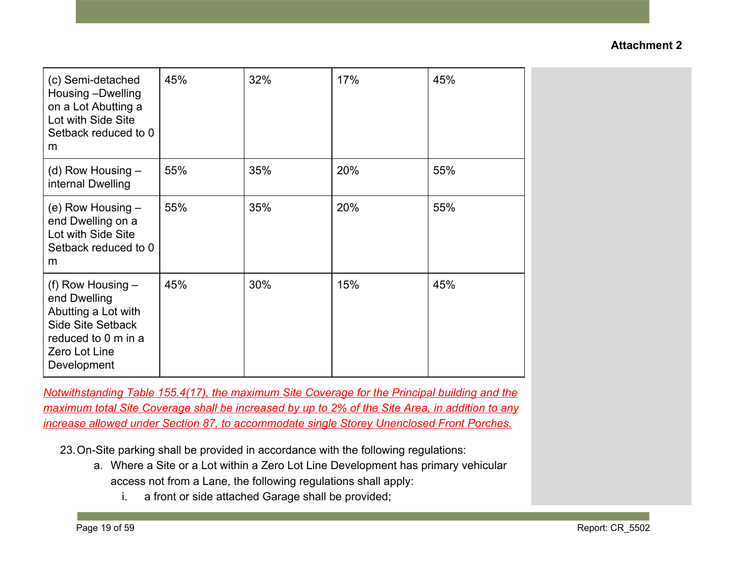| (c) Semi-detached<br>Housing -Dwelling<br>on a Lot Abutting a<br>Lot with Side Site<br>Setback reduced to 0<br>m                              | 45% | 32% | 17% | 45% |
|-----------------------------------------------------------------------------------------------------------------------------------------------|-----|-----|-----|-----|
| (d) Row Housing $-$<br>internal Dwelling                                                                                                      | 55% | 35% | 20% | 55% |
| (e) Row Housing $-$<br>end Dwelling on a<br>Lot with Side Site<br>Setback reduced to 0<br>m                                                   | 55% | 35% | 20% | 55% |
| (f) Row Housing $-$<br>end Dwelling<br>Abutting a Lot with<br><b>Side Site Setback</b><br>reduced to 0 m in a<br>Zero Lot Line<br>Development | 45% | 30% | 15% | 45% |

*Notwithstanding Table 155.4(17), the maximum Site Coverage for the Principal building and the maximum total Site Coverage shall be increased by up to 2% of the Site Area, in addition to any increase allowed under Section 87, to accommodate single Storey Unenclosed Front Porches.*

23.On-Site parking shall be provided in accordance with the following regulations:

- a. Where a Site or a Lot within a Zero Lot Line Development has primary vehicular access not from a Lane, the following regulations shall apply:
	- i. a front or side attached Garage shall be provided;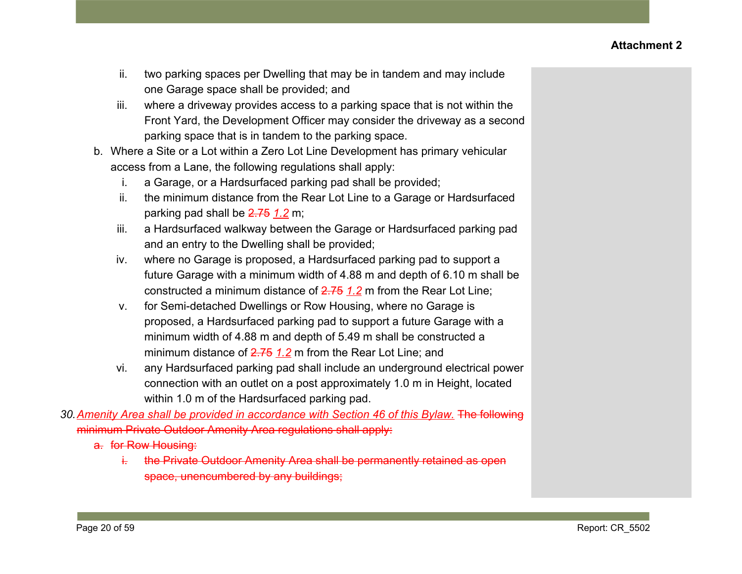- ii. two parking spaces per Dwelling that may be in tandem and may include one Garage space shall be provided; and
- iii. where a driveway provides access to a parking space that is not within the Front Yard, the Development Officer may consider the driveway as a second parking space that is in tandem to the parking space.
- b. Where a Site or a Lot within a Zero Lot Line Development has primary vehicular access from a Lane, the following regulations shall apply:
	- i. a Garage, or a Hardsurfaced parking pad shall be provided;
	- ii. the minimum distance from the Rear Lot Line to a Garage or Hardsurfaced parking pad shall be 2.75 *1.2* m;
	- iii. a Hardsurfaced walkway between the Garage or Hardsurfaced parking pad and an entry to the Dwelling shall be provided;
	- iv. where no Garage is proposed, a Hardsurfaced parking pad to support a future Garage with a minimum width of 4.88 m and depth of 6.10 m shall be constructed a minimum distance of 2.75 *1.2* m from the Rear Lot Line;
	- v. for Semi-detached Dwellings or Row Housing, where no Garage is proposed, a Hardsurfaced parking pad to support a future Garage with a minimum width of 4.88 m and depth of 5.49 m shall be constructed a minimum distance of 2.75 *1.2* m from the Rear Lot Line; and
	- vi. any Hardsurfaced parking pad shall include an underground electrical power connection with an outlet on a post approximately 1.0 m in Height, located within 1.0 m of the Hardsurfaced parking pad.
- *30.Amenity Area shall be provided in accordance with Section 46 of this Bylaw.* The following minimum Private Outdoor Amenity Area regulations shall apply:
	- a. for Row Housing:
		- i. the Private Outdoor Amenity Area shall be permanently retained as open space, unencumbered by any buildings;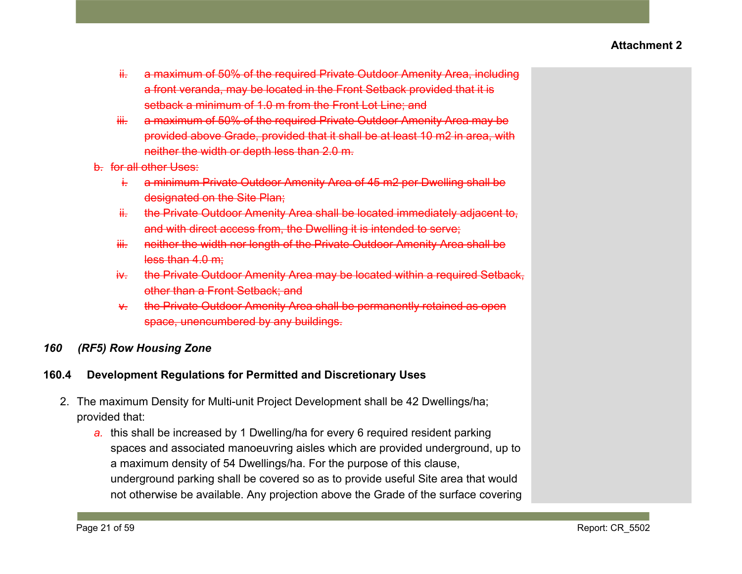- ii. a maximum of 50% of the required Private Outdoor Amenity Area, including a front veranda, may be located in the Front Setback provided that it is setback a minimum of 1.0 m from the Front Lot Line; and
- iii. a maximum of 50% of the required Private Outdoor Amenity Area may be provided above Grade, provided that it shall be at least 10 m2 in area, with neither the width or depth less than 2.0 m.
- b. for all other Uses:
	- i. a minimum Private Outdoor Amenity Area of 45 m2 per Dwelling shall be designated on the Site Plan;
	- ii. the Private Outdoor Amenity Area shall be located immediately adjacent to, and with direct access from, the Dwelling it is intended to serve;
	- iii. neither the width nor length of the Private Outdoor Amenity Area shall be less than 4.0 m;
	- iv. the Private Outdoor Amenity Area may be located within a required Setback, other than a Front Setback; and
	- v. the Private Outdoor Amenity Area shall be permanently retained as open space, unencumbered by any buildings.

## *160 (RF5) Row Housing Zone*

- 2. The maximum Density for Multi-unit Project Development shall be 42 Dwellings/ha; provided that:
	- *a.* this shall be increased by 1 Dwelling/ha for every 6 required resident parking spaces and associated manoeuvring aisles which are provided underground, up to a maximum density of 54 Dwellings/ha. For the purpose of this clause, underground parking shall be covered so as to provide useful Site area that would not otherwise be available. Any projection above the Grade of the surface covering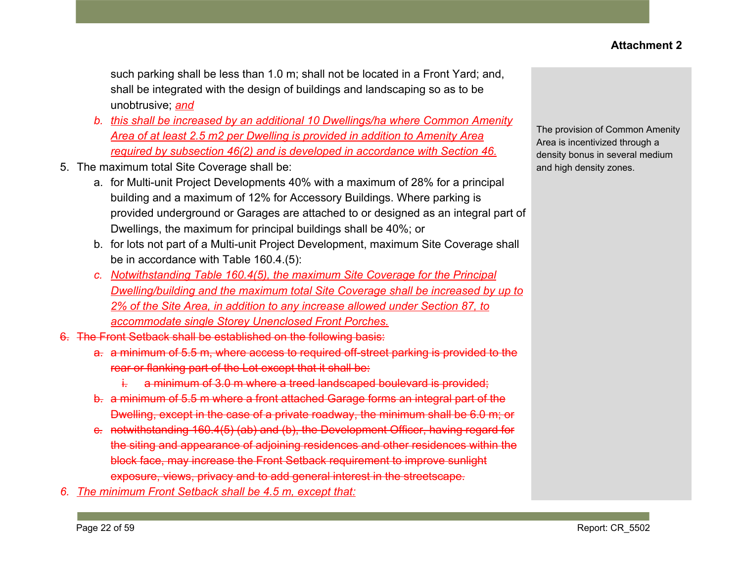such parking shall be less than 1.0 m; shall not be located in a Front Yard; and, shall be integrated with the design of buildings and landscaping so as to be unobtrusive; *and*

- *b. this shall be increased by an additional 10 Dwellings/ha where Common Amenity Area of at least 2.5 m2 per Dwelling is provided in addition to Amenity Area required by subsection 46(2) and is developed in accordance with Section 46.*
- 5. The maximum total Site Coverage shall be:
	- a. for Multi-unit Project Developments 40% with a maximum of 28% for a principal building and a maximum of 12% for Accessory Buildings. Where parking is provided underground or Garages are attached to or designed as an integral part of Dwellings, the maximum for principal buildings shall be 40%; or
	- b. for lots not part of a Multi-unit Project Development, maximum Site Coverage shall be in accordance with Table 160.4.(5):
	- *c. Notwithstanding Table 160.4(5), the maximum Site Coverage for the Principal Dwelling/building and the maximum total Site Coverage shall be increased by up to 2% of the Site Area, in addition to any increase allowed under Section 87, to accommodate single Storey Unenclosed Front Porches.*
- 6. The Front Setback shall be established on the following basis:
	- a. a minimum of 5.5 m, where access to required off-street parking is provided to the rear or flanking part of the Lot except that it shall be:
		- i. a minimum of 3.0 m where a treed landscaped boulevard is provided;
	- b. a minimum of 5.5 m where a front attached Garage forms an integral part of the Dwelling, except in the case of a private roadway, the minimum shall be 6.0 m; or
	- c. notwithstanding 160.4(5) (ab) and (b), the Development Officer, having regard for the siting and appearance of adjoining residences and other residences within the block face, may increase the Front Setback requirement to improve sunlight exposure, views, privacy and to add general interest in the streetscape.
- *6. The minimum Front Setback shall be 4.5 m, except that:*

The provision of Common Amenity Area is incentivized through a density bonus in several medium and high density zones.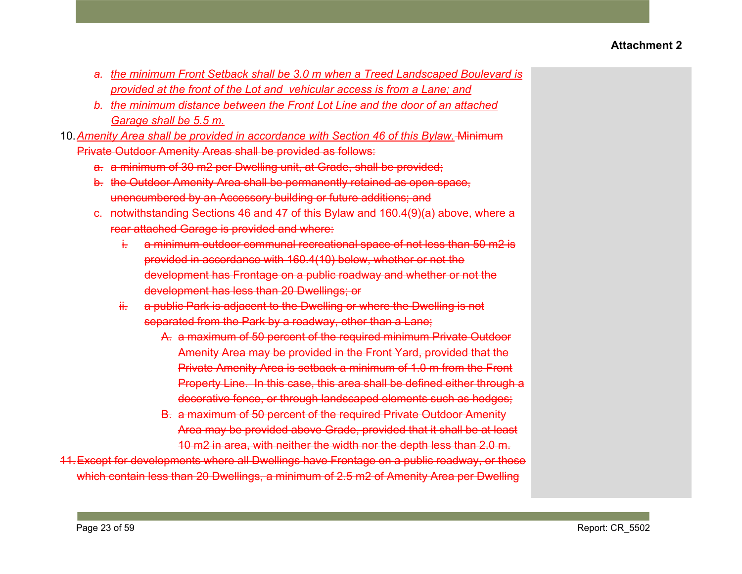- *a. the minimum Front Setback shall be 3.0 m when a Treed Landscaped Boulevard is provided at the front of the Lot and vehicular access is from a Lane; and*
- *b. the minimum distance between the Front Lot Line and the door of an attached Garage shall be 5.5 m.*
- 10.*Amenity Area shall be provided in accordance with Section 46 of this Bylaw.* Minimum Private Outdoor Amenity Areas shall be provided as follows:
	- a. a minimum of 30 m2 per Dwelling unit, at Grade, shall be provided;
	- b. the Outdoor Amenity Area shall be permanently retained as open space, unencumbered by an Accessory building or future additions; and
	- c. notwithstanding Sections 46 and 47 of this Bylaw and 160.4(9)(a) above, where a rear attached Garage is provided and where:
		- i. a minimum outdoor communal recreational space of not less than 50 m2 is provided in accordance with 160.4(10) below, whether or not the development has Frontage on a public roadway and whether or not the development has less than 20 Dwellings; or
		- ii. a public Park is adjacent to the Dwelling or where the Dwelling is not separated from the Park by a roadway, other than a Lane;
			- A. a maximum of 50 percent of the required minimum Private Outdoor Amenity Area may be provided in the Front Yard, provided that the Private Amenity Area is setback a minimum of 1.0 m from the Front Property Line. In this case, this area shall be defined either through a decorative fence, or through landscaped elements such as hedges;
			- B. a maximum of 50 percent of the required Private Outdoor Amenity Area may be provided above Grade, provided that it shall be at least 10 m2 in area, with neither the width nor the depth less than 2.0 m.
- 11.Except for developments where all Dwellings have Frontage on a public roadway, or those which contain less than 20 Dwellings, a minimum of 2.5 m2 of Amenity Area per Dwelling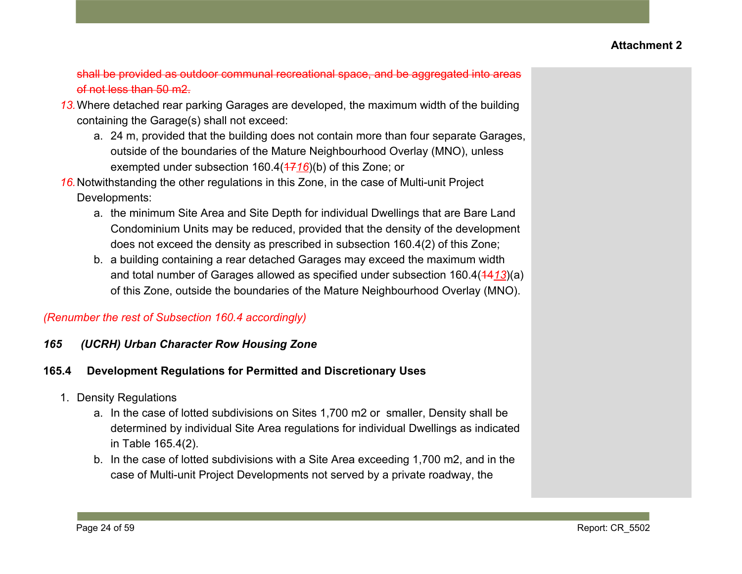shall be provided as outdoor communal recreational space, and be aggregated into areas of not less than 50 m2.

- *13.*Where detached rear parking Garages are developed, the maximum width of the building containing the Garage(s) shall not exceed:
	- a. 24 m, provided that the building does not contain more than four separate Garages, outside of the boundaries of the Mature Neighbourhood Overlay (MNO), unless exempted under subsection 160.4( $\frac{47}{16}$ )(b) of this Zone; or
- *16.*Notwithstanding the other regulations in this Zone, in the case of Multi-unit Project Developments:
	- a. the minimum Site Area and Site Depth for individual Dwellings that are Bare Land Condominium Units may be reduced, provided that the density of the development does not exceed the density as prescribed in subsection 160.4(2) of this Zone;
	- b. a building containing a rear detached Garages may exceed the maximum width and total number of Garages allowed as specified under subsection 160.4(4413)(a) of this Zone, outside the boundaries of the Mature Neighbourhood Overlay (MNO).

## *(Renumber the rest of Subsection 160.4 accordingly)*

*165 (UCRH) Urban Character Row Housing Zone*

- 1. Density Regulations
	- a. In the case of lotted subdivisions on Sites 1,700 m2 or smaller, Density shall be determined by individual Site Area regulations for individual Dwellings as indicated in Table 165.4(2).
	- b. In the case of lotted subdivisions with a Site Area exceeding 1,700 m2, and in the case of Multi-unit Project Developments not served by a private roadway, the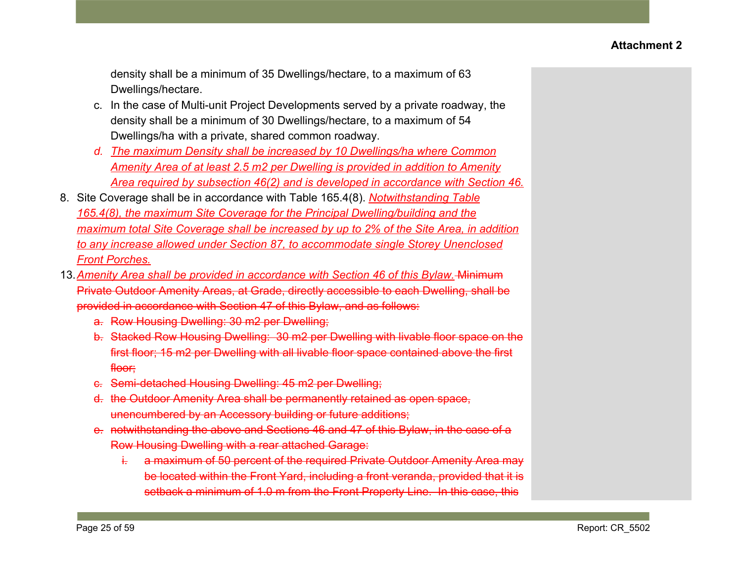density shall be a minimum of 35 Dwellings/hectare, to a maximum of 63 Dwellings/hectare.

- c. In the case of Multi-unit Project Developments served by a private roadway, the density shall be a minimum of 30 Dwellings/hectare, to a maximum of 54 Dwellings/ha with a private, shared common roadway.
- *d. The maximum Density shall be increased by 10 Dwellings/ha where Common Amenity Area of at least 2.5 m2 per Dwelling is provided in addition to Amenity Area required by subsection 46(2) and is developed in accordance with Section 46.*
- 8. Site Coverage shall be in accordance with Table 165.4(8). *Notwithstanding Table 165.4(8), the maximum Site Coverage for the Principal Dwelling/building and the maximum total Site Coverage shall be increased by up to 2% of the Site Area, in addition to any increase allowed under Section 87, to accommodate single Storey Unenclosed Front Porches.*
- 13.*Amenity Area shall be provided in accordance with Section 46 of this Bylaw.* Minimum Private Outdoor Amenity Areas, at Grade, directly accessible to each Dwelling, shall be provided in accordance with Section 47 of this Bylaw, and as follows:
	- a. Row Housing Dwelling: 30 m2 per Dwelling;
	- b. Stacked Row Housing Dwelling: 30 m2 per Dwelling with livable floor space on the first floor; 15 m2 per Dwelling with all livable floor space contained above the first floor:
	- c. Semi-detached Housing Dwelling: 45 m2 per Dwelling;
	- d. the Outdoor Amenity Area shall be permanently retained as open space, unencumbered by an Accessory building or future additions;
	- e. notwithstanding the above and Sections 46 and 47 of this Bylaw, in the case of a Row Housing Dwelling with a rear attached Garage:
		- i. a maximum of 50 percent of the required Private Outdoor Amenity Area may be located within the Front Yard, including a front veranda, provided that it is setback a minimum of 1.0 m from the Front Property Line. In this case, this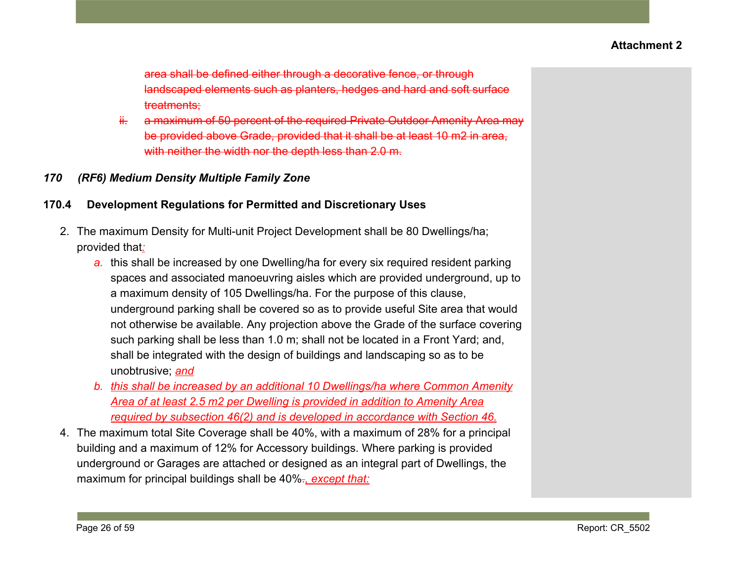area shall be defined either through a decorative fence, or through landscaped elements such as planters, hedges and hard and soft surface treatments;

ii. a maximum of 50 percent of the required Private Outdoor Amenity Area may be provided above Grade, provided that it shall be at least 10 m2 in area, with neither the width nor the depth less than 2.0 m.

### *170 (RF6) Medium Density Multiple Family Zone*

- 2. The maximum Density for Multi-unit Project Development shall be 80 Dwellings/ha; provided that*:*
	- *a.* this shall be increased by one Dwelling/ha for every six required resident parking spaces and associated manoeuvring aisles which are provided underground, up to a maximum density of 105 Dwellings/ha. For the purpose of this clause, underground parking shall be covered so as to provide useful Site area that would not otherwise be available. Any projection above the Grade of the surface covering such parking shall be less than 1.0 m; shall not be located in a Front Yard; and, shall be integrated with the design of buildings and landscaping so as to be unobtrusive; *and*
	- *b. this shall be increased by an additional 10 Dwellings/ha where Common Amenity Area of at least 2.5 m2 per Dwelling is provided in addition to Amenity Area required by subsection 46(2) and is developed in accordance with Section 46.*
- 4. The maximum total Site Coverage shall be 40%, with a maximum of 28% for a principal building and a maximum of 12% for Accessory buildings. Where parking is provided underground or Garages are attached or designed as an integral part of Dwellings, the maximum for principal buildings shall be 40%.*, except that:*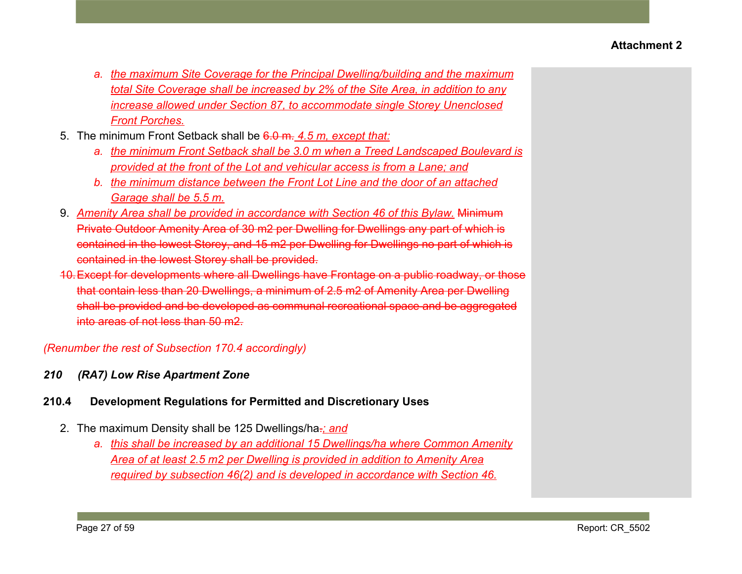- *a. the maximum Site Coverage for the Principal Dwelling/building and the maximum total Site Coverage shall be increased by 2% of the Site Area, in addition to any increase allowed under Section 87, to accommodate single Storey Unenclosed Front Porches.*
- 5. The minimum Front Setback shall be 6.0 m. *4.5 m, except that:*
	- *a. the minimum Front Setback shall be 3.0 m when a Treed Landscaped Boulevard is provided at the front of the Lot and vehicular access is from a Lane; and*
	- *b. the minimum distance between the Front Lot Line and the door of an attached Garage shall be 5.5 m.*
- 9. *Amenity Area shall be provided in accordance with Section 46 of this Bylaw.* Minimum Private Outdoor Amenity Area of 30 m2 per Dwelling for Dwellings any part of which is contained in the lowest Storey, and 15 m2 per Dwelling for Dwellings no part of which is contained in the lowest Storey shall be provided.
- 10.Except for developments where all Dwellings have Frontage on a public roadway, or those that contain less than 20 Dwellings, a minimum of 2.5 m2 of Amenity Area per Dwelling shall be provided and be developed as communal recreational space and be aggregated into areas of not less than 50 m2.

*(Renumber the rest of Subsection 170.4 accordingly)*

## *210 (RA7) Low Rise Apartment Zone*

- 2. The maximum Density shall be 125 Dwellings/ha.*; and*
	- *a. this shall be increased by an additional 15 Dwellings/ha where Common Amenity Area of at least 2.5 m2 per Dwelling is provided in addition to Amenity Area required by subsection 46(2) and is developed in accordance with Section 46.*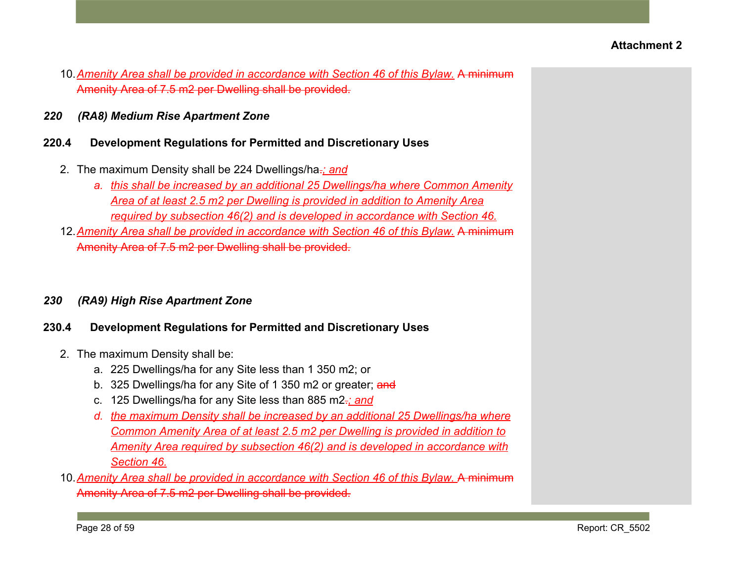- 10.*Amenity Area shall be provided in accordance with Section 46 of this Bylaw.* A minimum Amenity Area of 7.5 m2 per Dwelling shall be provided.
- *220 (RA8) Medium Rise Apartment Zone*

### **220.4 Development Regulations for Permitted and Discretionary Uses**

- 2. The maximum Density shall be 224 Dwellings/ha.*; and*
	- *a. this shall be increased by an additional 25 Dwellings/ha where Common Amenity Area of at least 2.5 m2 per Dwelling is provided in addition to Amenity Area required by subsection 46(2) and is developed in accordance with Section 46.*
- 12.*Amenity Area shall be provided in accordance with Section 46 of this Bylaw.* A minimum Amenity Area of 7.5 m2 per Dwelling shall be provided.

### *230 (RA9) High Rise Apartment Zone*

- 2. The maximum Density shall be:
	- a. 225 Dwellings/ha for any Site less than 1 350 m2; or
	- b. 325 Dwellings/ha for any Site of 1 350 m2 or greater; and
	- c. 125 Dwellings/ha for any Site less than 885 m2.*; and*
	- *d. the maximum Density shall be increased by an additional 25 Dwellings/ha where Common Amenity Area of at least 2.5 m2 per Dwelling is provided in addition to Amenity Area required by subsection 46(2) and is developed in accordance with Section 46.*
- 10. Amenity Area shall be provided in accordance with Section 46 of this Bylaw. A minimum Amenity Area of 7.5 m2 per Dwelling shall be provided.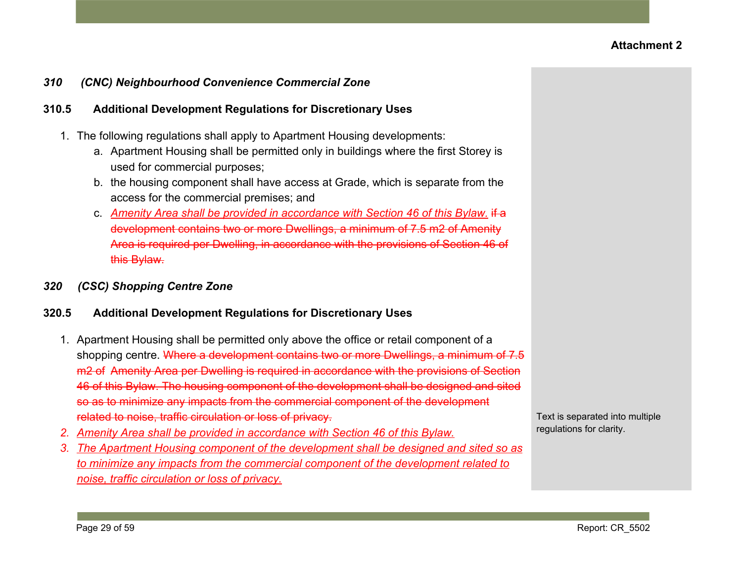### *310 (CNC) Neighbourhood Convenience Commercial Zone*

#### **310.5 Additional Development Regulations for Discretionary Uses**

- 1. The following regulations shall apply to Apartment Housing developments:
	- a. Apartment Housing shall be permitted only in buildings where the first Storey is used for commercial purposes;
	- b. the housing component shall have access at Grade, which is separate from the access for the commercial premises; and
	- c. *Amenity Area shall be provided in accordance with Section 46 of this Bylaw.* if a development contains two or more Dwellings, a minimum of 7.5 m2 of Amenity Area is required per Dwelling, in accordance with the provisions of Section 46 of this Bylaw.
- *320 (CSC) Shopping Centre Zone*

#### **320.5 Additional Development Regulations for Discretionary Uses**

- 1. Apartment Housing shall be permitted only above the office or retail component of a shopping centre. Where a development contains two or more Dwellings, a minimum of 7.5 m2 of Amenity Area per Dwelling is required in accordance with the provisions of Section 46 of this Bylaw. The housing component of the development shall be designed and sited so as to minimize any impacts from the commercial component of the development related to noise, traffic circulation or loss of privacy.
- *2. Amenity Area shall be provided in accordance with Section 46 of this Bylaw.*
- *3. The Apartment Housing component of the development shall be designed and sited so as to minimize any impacts from the commercial component of the development related to noise, traffic circulation or loss of privacy.*

Text is separated into multiple regulations for clarity.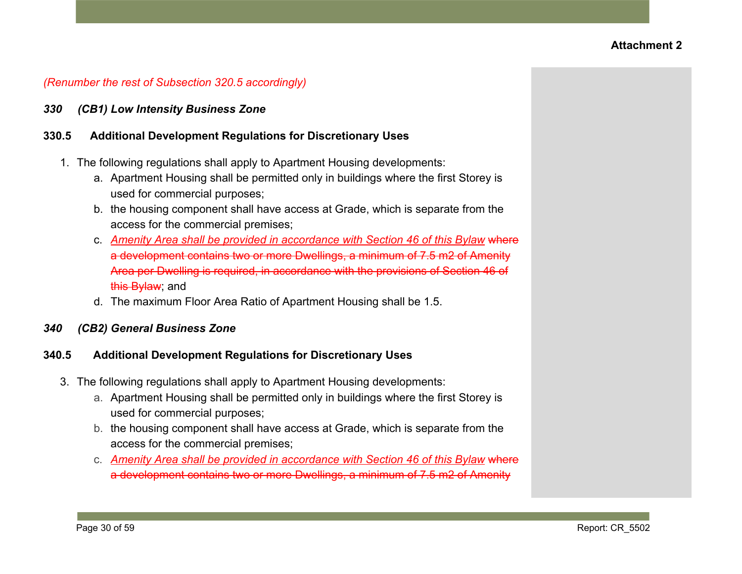### *(Renumber the rest of Subsection 320.5 accordingly)*

*330 (CB1) Low Intensity Business Zone*

#### **330.5 Additional Development Regulations for Discretionary Uses**

- 1. The following regulations shall apply to Apartment Housing developments:
	- a. Apartment Housing shall be permitted only in buildings where the first Storey is used for commercial purposes;
	- b. the housing component shall have access at Grade, which is separate from the access for the commercial premises;
	- c. *Amenity Area shall be provided in accordance with Section 46 of this Bylaw* where a development contains two or more Dwellings, a minimum of 7.5 m2 of Amenity Area per Dwelling is required, in accordance with the provisions of Section 46 of this **Bylaw**; and
	- d. The maximum Floor Area Ratio of Apartment Housing shall be 1.5.

#### *340 (CB2) General Business Zone*

### **340.5 Additional Development Regulations for Discretionary Uses**

- 3. The following regulations shall apply to Apartment Housing developments:
	- a. Apartment Housing shall be permitted only in buildings where the first Storey is used for commercial purposes;
	- b. the housing component shall have access at Grade, which is separate from the access for the commercial premises;
	- c. *Amenity Area shall be provided in accordance with Section 46 of this Bylaw* where a development contains two or more Dwellings, a minimum of 7.5 m2 of Amenity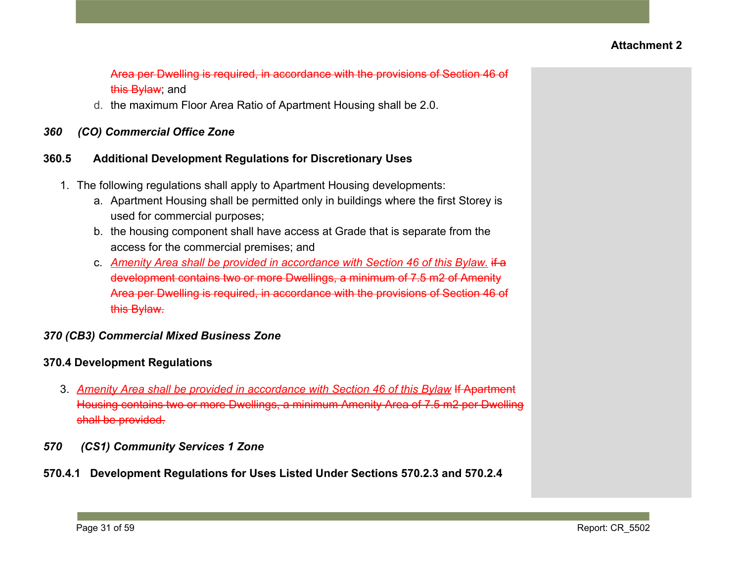Area per Dwelling is required, in accordance with the provisions of Section 46 of this **Bylaw** and

d. the maximum Floor Area Ratio of Apartment Housing shall be 2.0.

## *360 (CO) Commercial Office Zone*

## **360.5 Additional Development Regulations for Discretionary Uses**

- 1. The following regulations shall apply to Apartment Housing developments:
	- a. Apartment Housing shall be permitted only in buildings where the first Storey is used for commercial purposes;
	- b. the housing component shall have access at Grade that is separate from the access for the commercial premises; and
	- c. *Amenity Area shall be provided in accordance with Section 46 of this Bylaw.* if a development contains two or more Dwellings, a minimum of 7.5 m2 of Amenity Area per Dwelling is required, in accordance with the provisions of Section 46 of this Bylaw.

## *370 (CB3) Commercial Mixed Business Zone*

# **370.4 Development Regulations**

- 3. *Amenity Area shall be provided in accordance with Section 46 of this Bylaw* If Apartment Housing contains two or more Dwellings, a minimum Amenity Area of 7.5 m2 per Dwelling shall be provided.
- *570 (CS1) Community Services 1 Zone*
- **570.4.1 Development Regulations for Uses Listed Under Sections 570.2.3 and 570.2.4**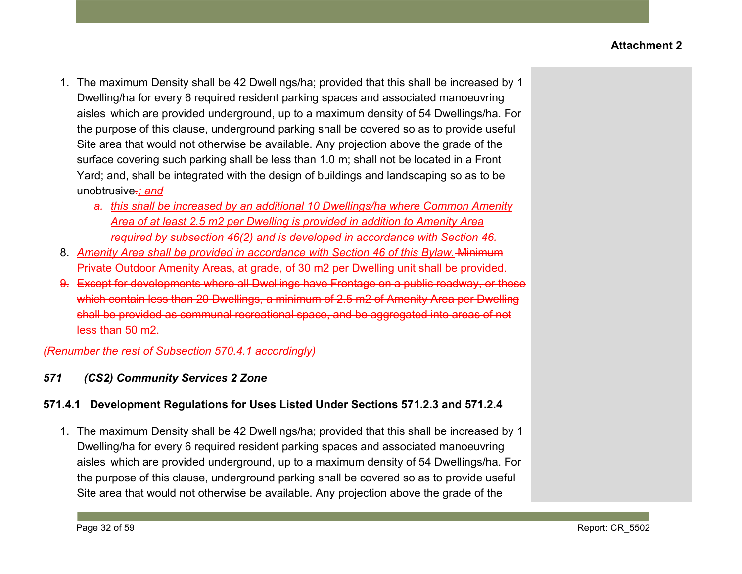- 1. The maximum Density shall be 42 Dwellings/ha; provided that this shall be increased by 1 Dwelling/ha for every 6 required resident parking spaces and associated manoeuvring aisles which are provided underground, up to a maximum density of 54 Dwellings/ha. For the purpose of this clause, underground parking shall be covered so as to provide useful Site area that would not otherwise be available. Any projection above the grade of the surface covering such parking shall be less than 1.0 m; shall not be located in a Front Yard; and, shall be integrated with the design of buildings and landscaping so as to be unobtrusive.*; and*
	- *a. this shall be increased by an additional 10 Dwellings/ha where Common Amenity Area of at least 2.5 m2 per Dwelling is provided in addition to Amenity Area required by subsection 46(2) and is developed in accordance with Section 46.*
- 8. *Amenity Area shall be provided in accordance with Section 46 of this Bylaw.* Minimum Private Outdoor Amenity Areas, at grade, of 30 m2 per Dwelling unit shall be provided.
- 9. Except for developments where all Dwellings have Frontage on a public roadway, or those which contain less than 20 Dwellings, a minimum of 2.5 m2 of Amenity Area per Dwelling shall be provided as communal recreational space, and be aggregated into areas of not less than 50 m2.

*(Renumber the rest of Subsection 570.4.1 accordingly)*

# *571 (CS2) Community Services 2 Zone*

# **571.4.1 Development Regulations for Uses Listed Under Sections 571.2.3 and 571.2.4**

1. The maximum Density shall be 42 Dwellings/ha; provided that this shall be increased by 1 Dwelling/ha for every 6 required resident parking spaces and associated manoeuvring aisles which are provided underground, up to a maximum density of 54 Dwellings/ha. For the purpose of this clause, underground parking shall be covered so as to provide useful Site area that would not otherwise be available. Any projection above the grade of the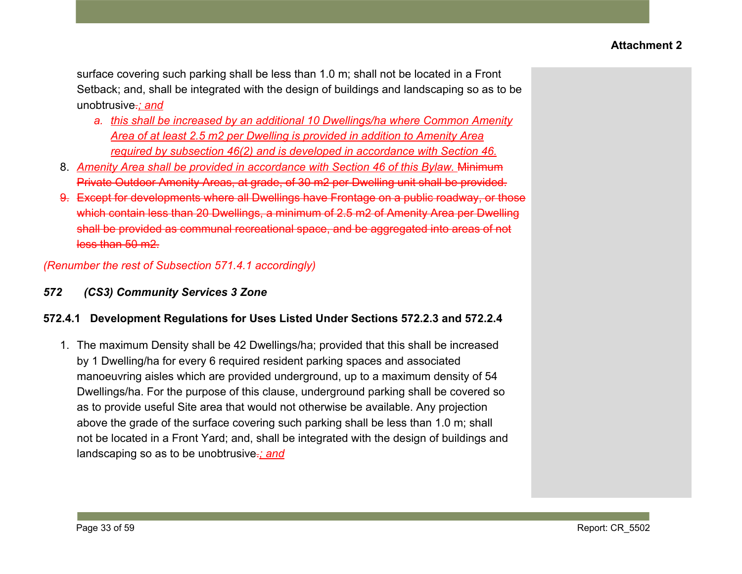surface covering such parking shall be less than 1.0 m; shall not be located in a Front Setback; and, shall be integrated with the design of buildings and landscaping so as to be unobtrusive.*; and*

- *a. this shall be increased by an additional 10 Dwellings/ha where Common Amenity Area of at least 2.5 m2 per Dwelling is provided in addition to Amenity Area required by subsection 46(2) and is developed in accordance with Section 46.*
- 8. Amenity Area shall be provided in accordance with Section 46 of this Bylaw. Minimum Private Outdoor Amenity Areas, at grade, of 30 m2 per Dwelling unit shall be provided.
- 9. Except for developments where all Dwellings have Frontage on a public roadway, or those which contain less than 20 Dwellings, a minimum of 2.5 m2 of Amenity Area per Dwelling shall be provided as communal recreational space, and be aggregated into areas of not less than 50 m2.

*(Renumber the rest of Subsection 571.4.1 accordingly)*

*572 (CS3) Community Services 3 Zone*

### **572.4.1 Development Regulations for Uses Listed Under Sections 572.2.3 and 572.2.4**

1. The maximum Density shall be 42 Dwellings/ha; provided that this shall be increased by 1 Dwelling/ha for every 6 required resident parking spaces and associated manoeuvring aisles which are provided underground, up to a maximum density of 54 Dwellings/ha. For the purpose of this clause, underground parking shall be covered so as to provide useful Site area that would not otherwise be available. Any projection above the grade of the surface covering such parking shall be less than 1.0 m; shall not be located in a Front Yard; and, shall be integrated with the design of buildings and landscaping so as to be unobtrusive.*; and*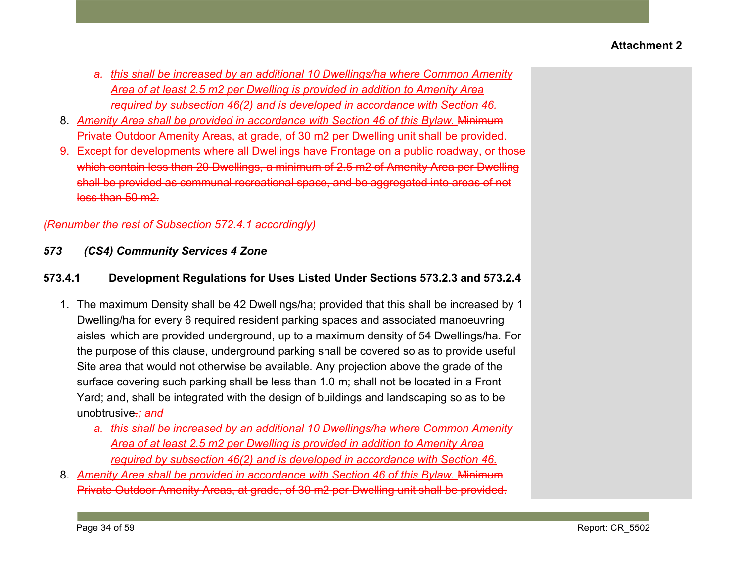- *a. this shall be increased by an additional 10 Dwellings/ha where Common Amenity Area of at least 2.5 m2 per Dwelling is provided in addition to Amenity Area required by subsection 46(2) and is developed in accordance with Section 46.*
- 8. Amenity Area shall be provided in accordance with Section 46 of this Bylaw. Minimum Private Outdoor Amenity Areas, at grade, of 30 m2 per Dwelling unit shall be provided.
- 9. Except for developments where all Dwellings have Frontage on a public roadway, or those which contain less than 20 Dwellings, a minimum of 2.5 m2 of Amenity Area per Dwelling shall be provided as communal recreational space, and be aggregated into areas of not less than 50 m2.

# *(Renumber the rest of Subsection 572.4.1 accordingly)*

*573 (CS4) Community Services 4 Zone*

# **573.4.1 Development Regulations for Uses Listed Under Sections 573.2.3 and 573.2.4**

- 1. The maximum Density shall be 42 Dwellings/ha; provided that this shall be increased by 1 Dwelling/ha for every 6 required resident parking spaces and associated manoeuvring aisles which are provided underground, up to a maximum density of 54 Dwellings/ha. For the purpose of this clause, underground parking shall be covered so as to provide useful Site area that would not otherwise be available. Any projection above the grade of the surface covering such parking shall be less than 1.0 m; shall not be located in a Front Yard; and, shall be integrated with the design of buildings and landscaping so as to be unobtrusive.*; and*
	- *a. this shall be increased by an additional 10 Dwellings/ha where Common Amenity Area of at least 2.5 m2 per Dwelling is provided in addition to Amenity Area required by subsection 46(2) and is developed in accordance with Section 46.*
- 8. Amenity Area shall be provided in accordance with Section 46 of this Bylaw. Minimum Private Outdoor Amenity Areas, at grade, of 30 m2 per Dwelling unit shall be provided.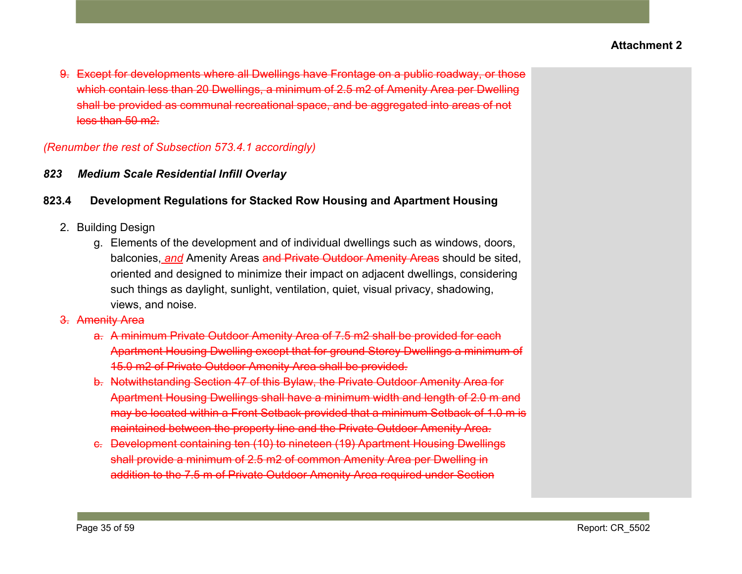9. Except for developments where all Dwellings have Frontage on a public roadway, or those which contain less than 20 Dwellings, a minimum of 2.5 m2 of Amenity Area per Dwelling shall be provided as communal recreational space, and be aggregated into areas of not less than 50 m2.

### *(Renumber the rest of Subsection 573.4.1 accordingly)*

### *823 Medium Scale Residential Infill Overlay*

### **823.4 Development Regulations for Stacked Row Housing and Apartment Housing**

- 2. Building Design
	- g. Elements of the development and of individual dwellings such as windows, doors, balconies, *and* Amenity Areas and Private Outdoor Amenity Areas should be sited, oriented and designed to minimize their impact on adjacent dwellings, considering such things as daylight, sunlight, ventilation, quiet, visual privacy, shadowing, views, and noise.
- 3. Amenity Area
	- a. A minimum Private Outdoor Amenity Area of 7.5 m2 shall be provided for each Apartment Housing Dwelling except that for ground Storey Dwellings a minimum of 15.0 m2 of Private Outdoor Amenity Area shall be provided.
	- b. Notwithstanding Section 47 of this Bylaw, the Private Outdoor Amenity Area for Apartment Housing Dwellings shall have a minimum width and length of 2.0 m and may be located within a Front Setback provided that a minimum Setback of 1.0 m is maintained between the property line and the Private Outdoor Amenity Area.
	- c. Development containing ten (10) to nineteen (19) Apartment Housing Dwellings shall provide a minimum of 2.5 m2 of common Amenity Area per Dwelling in addition to the 7.5 m of Private Outdoor Amenity Area required under Section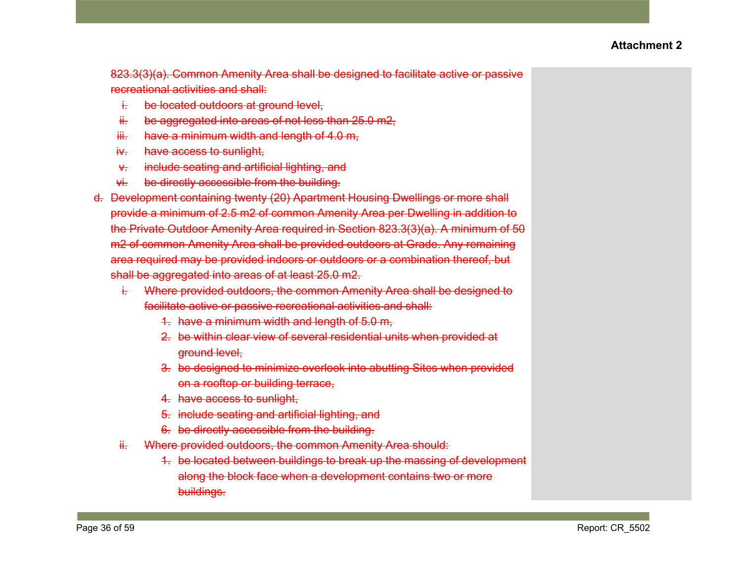823.3(3)(a). Common Amenity Area shall be designed to facilitate active or passive recreational activities and shall:

- i. be located outdoors at ground level,
- $ii.$  be aggregated into areas of not less than  $25.0$  m $2,$
- $iii.$  have a minimum width and length of 4.0 m,
- iv. have access to sunlight,
- v. include seating and artificial lighting, and
- vi. be directly accessible from the building.
- d. Development containing twenty (20) Apartment Housing Dwellings or more shall provide a minimum of 2.5 m2 of common Amenity Area per Dwelling in addition to the Private Outdoor Amenity Area required in Section 823.3(3)(a). A minimum of 50 m2 of common Amenity Area shall be provided outdoors at Grade. Any remaining area required may be provided indoors or outdoors or a combination thereof, but shall be aggregated into areas of at least 25.0 m2.
	- i. Where provided outdoors, the common Amenity Area shall be designed to facilitate active or passive recreational activities and shall:
		- 1. have a minimum width and length of 5.0 m,
		- 2. be within clear view of several residential units when provided at ground level,
		- 3. be designed to minimize overlook into abutting Sites when provided on a rooftop or building terrace,
		- 4. have access to sunlight,
		- 5. include seating and artificial lighting, and
		- 6. be directly accessible from the building.
	- ii. Where provided outdoors, the common Amenity Area should:
		- 1. be located between buildings to break up the massing of development along the block face when a development contains two or more buildings.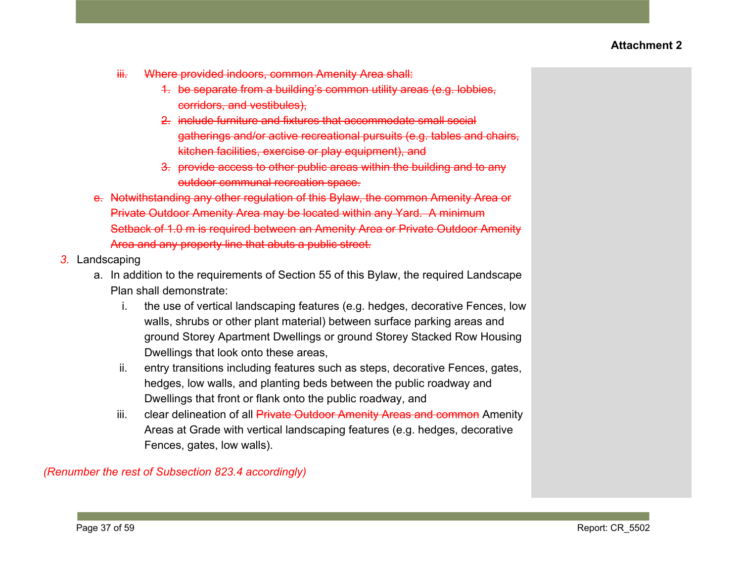- iii. Where provided indoors, common Amenity Area shall:
	- 1. be separate from a building's common utility areas (e.g. lobbies, corridors, and vestibules),
	- 2. include furniture and fixtures that accommodate small social gatherings and/or active recreational pursuits (e.g. tables and chairs, kitchen facilities, exercise or play equipment), and
	- 3. provide access to other public areas within the building and to any outdoor communal recreation space.
- e. Notwithstanding any other regulation of this Bylaw, the common Amenity Area or Private Outdoor Amenity Area may be located within any Yard. A minimum Setback of 1.0 m is required between an Amenity Area or Private Outdoor Amenity Area and any property line that abuts a public street.
- *3.* Landscaping
	- a. In addition to the requirements of Section 55 of this Bylaw, the required Landscape Plan shall demonstrate:
		- i. the use of vertical landscaping features (e.g. hedges, decorative Fences, low walls, shrubs or other plant material) between surface parking areas and ground Storey Apartment Dwellings or ground Storey Stacked Row Housing Dwellings that look onto these areas,
		- ii. entry transitions including features such as steps, decorative Fences, gates, hedges, low walls, and planting beds between the public roadway and Dwellings that front or flank onto the public roadway, and
		- iii. clear delineation of all **Private Outdoor Amenity Areas and common** Amenity Areas at Grade with vertical landscaping features (e.g. hedges, decorative Fences, gates, low walls).

*(Renumber the rest of Subsection 823.4 accordingly)*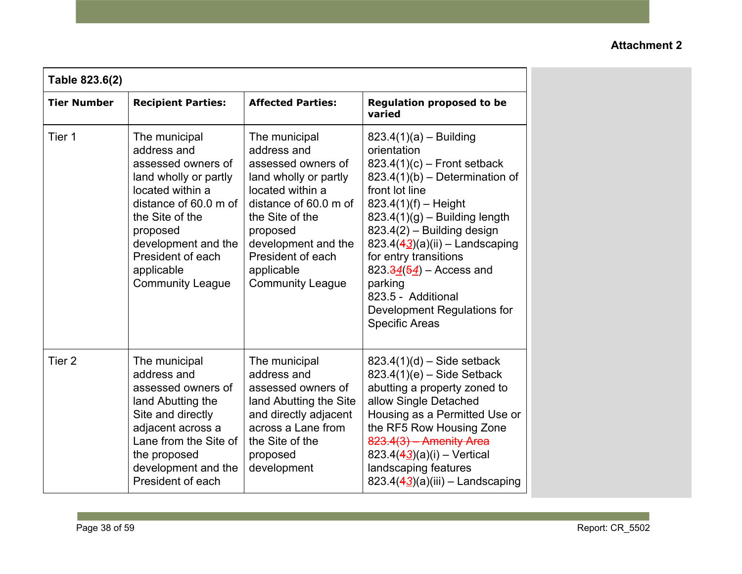| Table 823.6(2)     |                                                                                                                                                                                                                                              |                                                                                                                                                                                                                                              |                                                                                                                                                                                                                                                                                                                                                                                                                      |  |
|--------------------|----------------------------------------------------------------------------------------------------------------------------------------------------------------------------------------------------------------------------------------------|----------------------------------------------------------------------------------------------------------------------------------------------------------------------------------------------------------------------------------------------|----------------------------------------------------------------------------------------------------------------------------------------------------------------------------------------------------------------------------------------------------------------------------------------------------------------------------------------------------------------------------------------------------------------------|--|
| <b>Tier Number</b> | <b>Recipient Parties:</b>                                                                                                                                                                                                                    | <b>Affected Parties:</b>                                                                                                                                                                                                                     | <b>Regulation proposed to be</b><br>varied                                                                                                                                                                                                                                                                                                                                                                           |  |
| Tier 1             | The municipal<br>address and<br>assessed owners of<br>land wholly or partly<br>located within a<br>distance of 60.0 m of<br>the Site of the<br>proposed<br>development and the<br>President of each<br>applicable<br><b>Community League</b> | The municipal<br>address and<br>assessed owners of<br>land wholly or partly<br>located within a<br>distance of 60.0 m of<br>the Site of the<br>proposed<br>development and the<br>President of each<br>applicable<br><b>Community League</b> | $823.4(1)(a) - Building$<br>orientation<br>$823.4(1)(c)$ – Front setback<br>$823.4(1)(b)$ – Determination of<br>front lot line<br>$823.4(1)(f) - Height$<br>$823.4(1)(g)$ – Building length<br>823.4(2) - Building design<br>823.4(43)(a)(ii) - Landscaping<br>for entry transitions<br>$823.\frac{34(54)}{4}$ – Access and<br>parking<br>823.5 - Additional<br>Development Regulations for<br><b>Specific Areas</b> |  |
| Tier <sub>2</sub>  | The municipal<br>address and<br>assessed owners of<br>land Abutting the<br>Site and directly<br>adjacent across a<br>Lane from the Site of<br>the proposed<br>development and the<br>President of each                                       | The municipal<br>address and<br>assessed owners of<br>land Abutting the Site<br>and directly adjacent<br>across a Lane from<br>the Site of the<br>proposed<br>development                                                                    | $823.4(1)(d)$ – Side setback<br>$823.4(1)(e)$ – Side Setback<br>abutting a property zoned to<br>allow Single Detached<br>Housing as a Permitted Use or<br>the RF5 Row Housing Zone<br>$823.4(3)$ - Amenity Area<br>823.4(43)(a)(i) - Vertical<br>landscaping features<br>823.4 $(43)(a)(iii)$ - Landscaping                                                                                                          |  |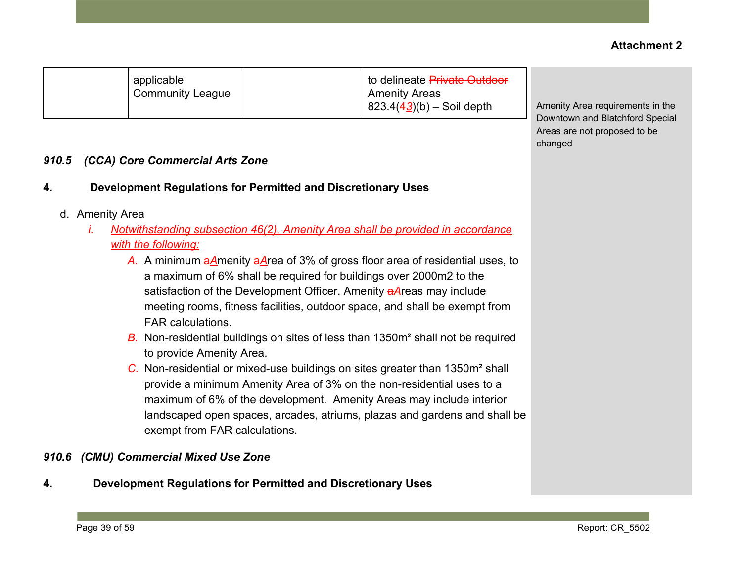|       |                 | applicable<br><b>Community League</b> | to delineate <del>Private Outdoor</del><br><b>Amenity Areas</b><br>$823.4(43)(b) -$ Soil depth     | Amenity Area requirements in the<br>Downtown and Blatchford Special |
|-------|-----------------|---------------------------------------|----------------------------------------------------------------------------------------------------|---------------------------------------------------------------------|
|       |                 |                                       |                                                                                                    | Areas are not proposed to be<br>changed                             |
| 910.5 |                 | (CCA) Core Commercial Arts Zone       |                                                                                                    |                                                                     |
| 4.    |                 |                                       | Development Regulations for Permitted and Discretionary Uses                                       |                                                                     |
|       | d. Amenity Area |                                       |                                                                                                    |                                                                     |
|       | L.              |                                       | Notwithstanding subsection 46(2), Amenity Area shall be provided in accordance                     |                                                                     |
|       |                 | with the following:                   |                                                                                                    |                                                                     |
|       |                 |                                       | A. A minimum $a\text{A}$ menity $a\text{A}$ rea of 3% of gross floor area of residential uses, to  |                                                                     |
|       |                 |                                       | a maximum of 6% shall be required for buildings over 2000m2 to the                                 |                                                                     |
|       |                 |                                       | satisfaction of the Development Officer. Amenity aAreas may include                                |                                                                     |
|       |                 |                                       | meeting rooms, fitness facilities, outdoor space, and shall be exempt from                         |                                                                     |
|       |                 | <b>FAR calculations.</b>              |                                                                                                    |                                                                     |
|       |                 |                                       | <b>B.</b> Non-residential buildings on sites of less than 1350m <sup>2</sup> shall not be required |                                                                     |
|       |                 | to provide Amenity Area.              |                                                                                                    |                                                                     |
|       |                 |                                       | C. Nen residential er mived use buildings en eites greater than 1950m? aboll                       |                                                                     |

to delineate Private Outdoor

*C.* Non-residential or mixed-use buildings on sites greater than 1350m² shall provide a minimum Amenity Area of 3% on the non-residential uses to a maximum of 6% of the development. Amenity Areas may include interior landscaped open spaces, arcades, atriums, plazas and gardens and shall be exempt from FAR calculations.

# *910.6 (CMU) Commercial Mixed Use Zone*

applicable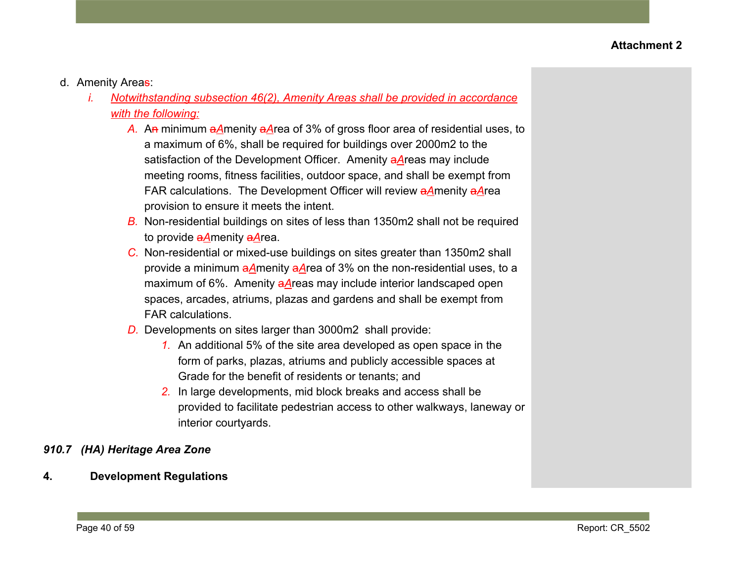- d. Amenity Areas:
	- *i. Notwithstanding subsection 46(2), Amenity Areas shall be provided in accordance with the following:*
		- *A.* An minimum a*A*menity a*A*rea of 3% of gross floor area of residential uses, to a maximum of 6%, shall be required for buildings over 2000m2 to the satisfaction of the Development Officer. Amenity a*A*reas may include meeting rooms, fitness facilities, outdoor space, and shall be exempt from FAR calculations. The Development Officer will review a*A*menity a*A*rea provision to ensure it meets the intent.
		- *B.* Non-residential buildings on sites of less than 1350m2 shall not be required to provide a*A*menity a*A*rea.
		- *C.* Non-residential or mixed-use buildings on sites greater than 1350m2 shall provide a minimum a*A*menity a*A*rea of 3% on the non-residential uses, to a maximum of 6%. Amenity a*A*reas may include interior landscaped open spaces, arcades, atriums, plazas and gardens and shall be exempt from FAR calculations.
		- *D.* Developments on sites larger than 3000m2 shall provide:
			- *1.* An additional 5% of the site area developed as open space in the form of parks, plazas, atriums and publicly accessible spaces at Grade for the benefit of residents or tenants; and
			- *2.* In large developments, mid block breaks and access shall be provided to facilitate pedestrian access to other walkways, laneway or interior courtyards.

## *910.7 (HA) Heritage Area Zone*

**4. Development Regulations**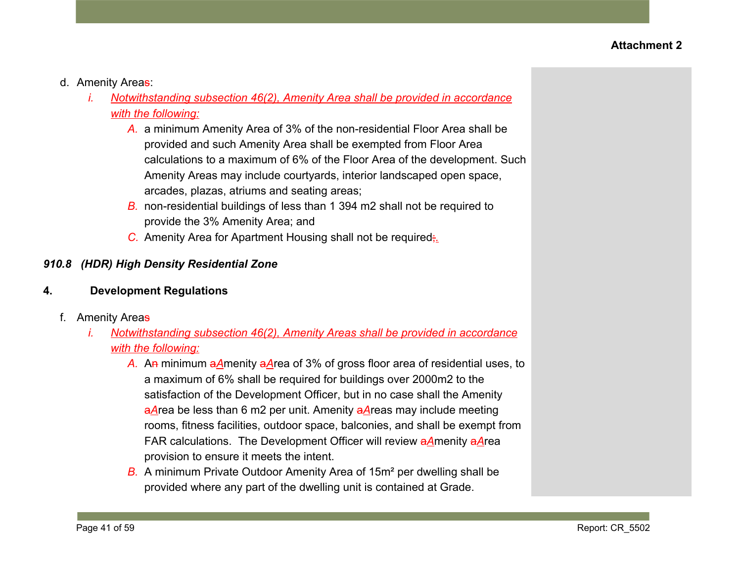- d. Amenity Areas:
	- *i. Notwithstanding subsection 46(2), Amenity Area shall be provided in accordance with the following:*
		- *A.* a minimum Amenity Area of 3% of the non-residential Floor Area shall be provided and such Amenity Area shall be exempted from Floor Area calculations to a maximum of 6% of the Floor Area of the development. Such Amenity Areas may include courtyards, interior landscaped open space, arcades, plazas, atriums and seating areas;
		- *B.* non-residential buildings of less than 1 394 m2 shall not be required to provide the 3% Amenity Area; and
		- *C.* Amenity Area for Apartment Housing shall not be required;*.*

## *910.8 (HDR) High Density Residential Zone*

### **4. Development Regulations**

- f. Amenity Areas
	- *i. Notwithstanding subsection 46(2), Amenity Areas shall be provided in accordance with the following:*
		- *A.* An minimum a*A*menity a*A*rea of 3% of gross floor area of residential uses, to a maximum of 6% shall be required for buildings over 2000m2 to the satisfaction of the Development Officer, but in no case shall the Amenity a*A*rea be less than 6 m2 per unit. Amenity a*A*reas may include meeting rooms, fitness facilities, outdoor space, balconies, and shall be exempt from FAR calculations. The Development Officer will review a*A*menity a*A*rea provision to ensure it meets the intent.
		- *B.* A minimum Private Outdoor Amenity Area of 15m² per dwelling shall be provided where any part of the dwelling unit is contained at Grade.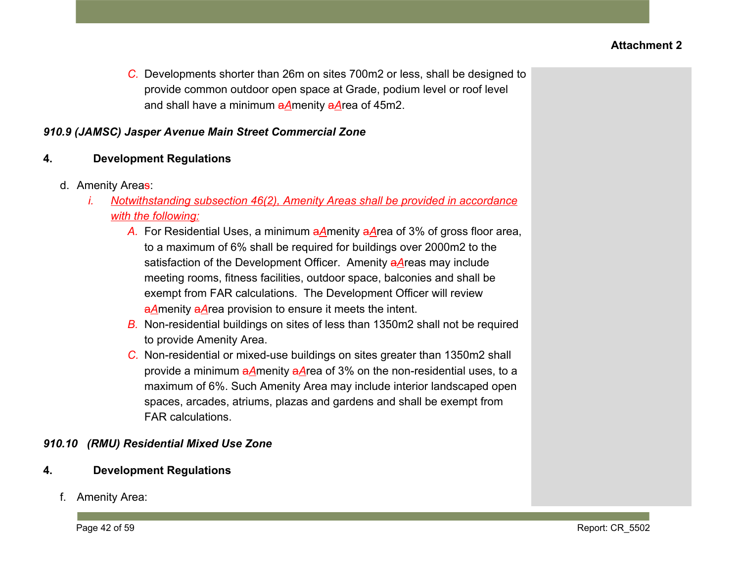*C.* Developments shorter than 26m on sites 700m2 or less, shall be designed to provide common outdoor open space at Grade, podium level or roof level and shall have a minimum a*A*menity a*A*rea of 45m2.

### *910.9 (JAMSC) Jasper Avenue Main Street Commercial Zone*

## **4. Development Regulations**

- d. Amenity Areas:
	- *i. Notwithstanding subsection 46(2), Amenity Areas shall be provided in accordance with the following:*
		- *A.* For Residential Uses, a minimum a*A*menity a*A*rea of 3% of gross floor area, to a maximum of 6% shall be required for buildings over 2000m2 to the satisfaction of the Development Officer. Amenity a*A*reas may include meeting rooms, fitness facilities, outdoor space, balconies and shall be exempt from FAR calculations. The Development Officer will review a*A*menity a*A*rea provision to ensure it meets the intent.
		- *B.* Non-residential buildings on sites of less than 1350m2 shall not be required to provide Amenity Area.
		- *C.* Non-residential or mixed-use buildings on sites greater than 1350m2 shall provide a minimum a*A*menity a*A*rea of 3% on the non-residential uses, to a maximum of 6%. Such Amenity Area may include interior landscaped open spaces, arcades, atriums, plazas and gardens and shall be exempt from FAR calculations.

### *910.10 (RMU) Residential Mixed Use Zone*

- **4. Development Regulations**
	- f. Amenity Area: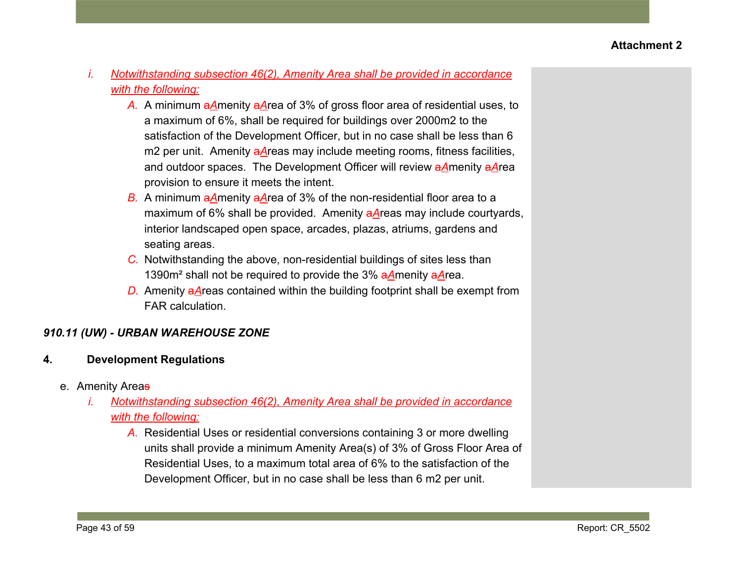- *i. Notwithstanding subsection 46(2), Amenity Area shall be provided in accordance with the following:*
	- *A.* A minimum a*A*menity a*A*rea of 3% of gross floor area of residential uses, to a maximum of 6%, shall be required for buildings over 2000m2 to the satisfaction of the Development Officer, but in no case shall be less than 6 m2 per unit. Amenity aAreas may include meeting rooms, fitness facilities, and outdoor spaces. The Development Officer will review a*A*menity a*A*rea provision to ensure it meets the intent.
	- *B.* A minimum a*A*menity a*A*rea of 3% of the non-residential floor area to a maximum of 6% shall be provided. Amenity a*A*reas may include courtyards, interior landscaped open space, arcades, plazas, atriums, gardens and seating areas.
	- *C.* Notwithstanding the above, non-residential buildings of sites less than 1390m² shall not be required to provide the 3% a*A*menity a*A*rea.
	- *D.* Amenity a*A*reas contained within the building footprint shall be exempt from FAR calculation.

# *910.11 (UW) - URBAN WAREHOUSE ZONE*

- **4. Development Regulations**
	- e. Amenity Areas
		- *i. Notwithstanding subsection 46(2), Amenity Area shall be provided in accordance with the following:*
			- *A.* Residential Uses or residential conversions containing 3 or more dwelling units shall provide a minimum Amenity Area(s) of 3% of Gross Floor Area of Residential Uses, to a maximum total area of 6% to the satisfaction of the Development Officer, but in no case shall be less than 6 m2 per unit.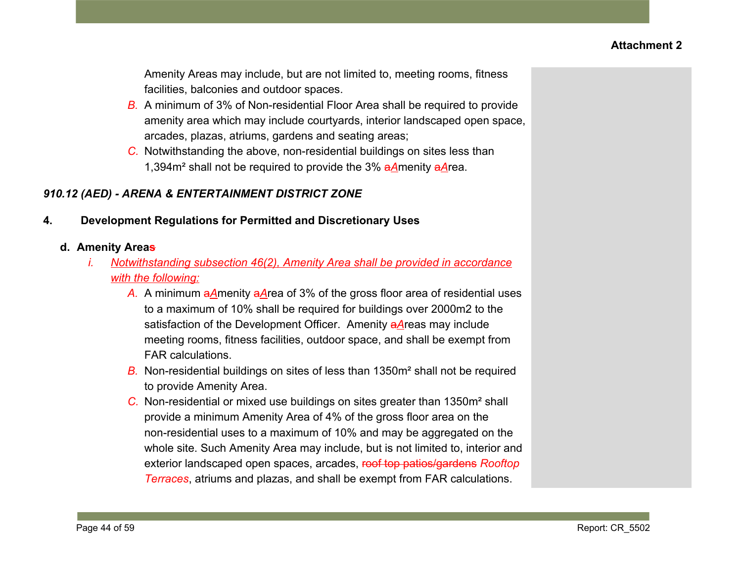Amenity Areas may include, but are not limited to, meeting rooms, fitness facilities, balconies and outdoor spaces.

- *B.* A minimum of 3% of Non-residential Floor Area shall be required to provide amenity area which may include courtyards, interior landscaped open space, arcades, plazas, atriums, gardens and seating areas;
- *C.* Notwithstanding the above, non-residential buildings on sites less than 1,394m² shall not be required to provide the 3% a*A*menity a*A*rea.

# *910.12 (AED) - ARENA & ENTERTAINMENT DISTRICT ZONE*

## **4. Development Regulations for Permitted and Discretionary Uses**

## **d. Amenity Areas**

- *i. Notwithstanding subsection 46(2), Amenity Area shall be provided in accordance with the following:*
	- *A.* A minimum a*A*menity a*A*rea of 3% of the gross floor area of residential uses to a maximum of 10% shall be required for buildings over 2000m2 to the satisfaction of the Development Officer. Amenity a*A*reas may include meeting rooms, fitness facilities, outdoor space, and shall be exempt from FAR calculations.
	- *B.* Non-residential buildings on sites of less than 1350m² shall not be required to provide Amenity Area.
	- *C.* Non-residential or mixed use buildings on sites greater than 1350m² shall provide a minimum Amenity Area of 4% of the gross floor area on the non-residential uses to a maximum of 10% and may be aggregated on the whole site. Such Amenity Area may include, but is not limited to, interior and exterior landscaped open spaces, arcades, roof top patios/gardens *Rooftop Terraces*, atriums and plazas, and shall be exempt from FAR calculations.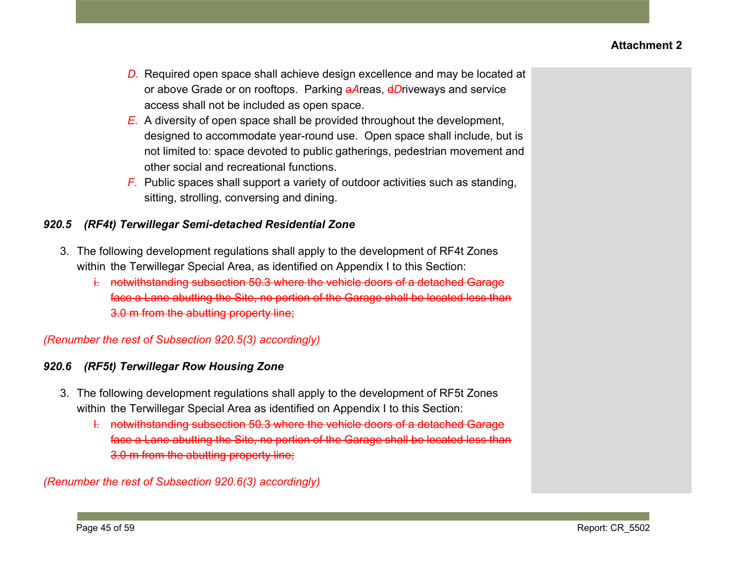- *D.* Required open space shall achieve design excellence and may be located at or above Grade or on rooftops. Parking a*A*reas, d*D*riveways and service access shall not be included as open space.
- *E.* A diversity of open space shall be provided throughout the development, designed to accommodate year-round use. Open space shall include, but is not limited to: space devoted to public gatherings, pedestrian movement and other social and recreational functions.
- *F.* Public spaces shall support a variety of outdoor activities such as standing, sitting, strolling, conversing and dining.

## *920.5 (RF4t) Terwillegar Semi-detached Residential Zone*

- 3. The following development regulations shall apply to the development of RF4t Zones within the Terwillegar Special Area, as identified on Appendix I to this Section:
	- i. notwithstanding subsection 50.3 where the vehicle doors of a detached Garage face a Lane abutting the Site, no portion of the Garage shall be located less than 3.0 m from the abutting property line;

# *(Renumber the rest of Subsection 920.5(3) accordingly)*

# *920.6 (RF5t) Terwillegar Row Housing Zone*

- 3. The following development regulations shall apply to the development of RF5t Zones within the Terwillegar Special Area as identified on Appendix I to this Section:
	- l. notwithstanding subsection 50.3 where the vehicle doors of a detached Garage face a Lane abutting the Site, no portion of the Garage shall be located less than 3.0 m from the abutting property line;

# *(Renumber the rest of Subsection 920.6(3) accordingly)*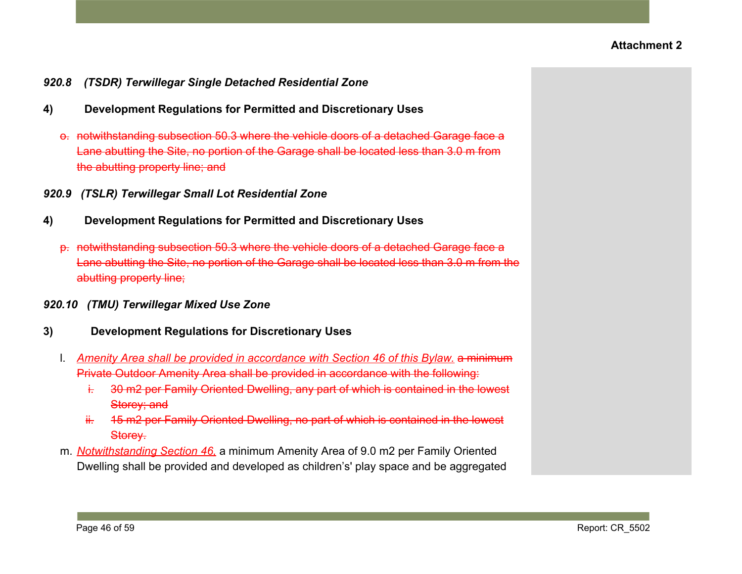- *920.8 (TSDR) Terwillegar Single Detached Residential Zone*
- **4) Development Regulations for Permitted and Discretionary Uses**
	- o. notwithstanding subsection 50.3 where the vehicle doors of a detached Garage face a Lane abutting the Site, no portion of the Garage shall be located less than 3.0 m from the abutting property line; and
- *920.9 (TSLR) Terwillegar Small Lot Residential Zone*
- **4) Development Regulations for Permitted and Discretionary Uses**
	- p. notwithstanding subsection 50.3 where the vehicle doors of a detached Garage face a Lane abutting the Site, no portion of the Garage shall be located less than 3.0 m from the abutting property line;
- *920.10 (TMU) Terwillegar Mixed Use Zone*
- **3) Development Regulations for Discretionary Uses**
	- l. *Amenity Area shall be provided in accordance with Section 46 of this Bylaw.* a minimum Private Outdoor Amenity Area shall be provided in accordance with the following:
		- i. 30 m2 per Family Oriented Dwelling, any part of which is contained in the lowest Storey; and
		- ii. 45 m2 per Family Oriented Dwelling, no part of which is contained in the lowest Storey.
	- m. *Notwithstanding Section 46,* a minimum Amenity Area of 9.0 m2 per Family Oriented Dwelling shall be provided and developed as children's' play space and be aggregated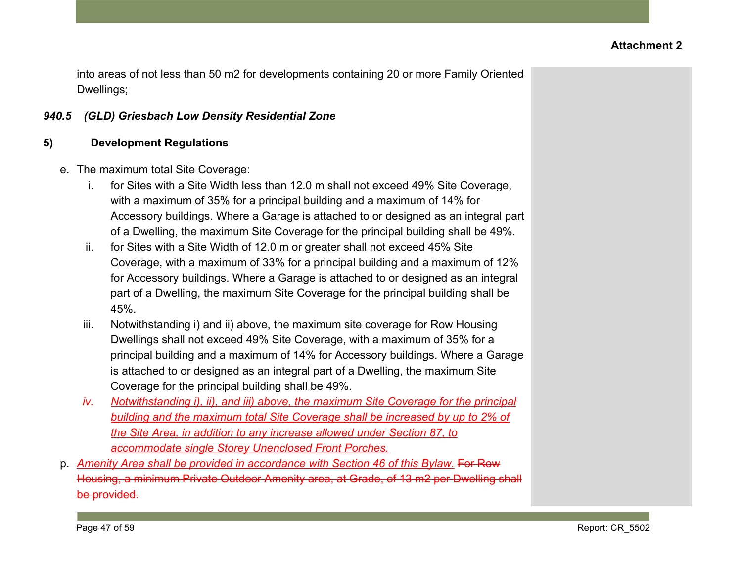into areas of not less than 50 m2 for developments containing 20 or more Family Oriented Dwellings;

### *940.5 (GLD) Griesbach Low Density Residential Zone*

## **5) Development Regulations**

- e. The maximum total Site Coverage:
	- i. for Sites with a Site Width less than 12.0 m shall not exceed 49% Site Coverage, with a maximum of 35% for a principal building and a maximum of 14% for Accessory buildings. Where a Garage is attached to or designed as an integral part of a Dwelling, the maximum Site Coverage for the principal building shall be 49%.
	- ii. for Sites with a Site Width of 12.0 m or greater shall not exceed 45% Site Coverage, with a maximum of 33% for a principal building and a maximum of 12% for Accessory buildings. Where a Garage is attached to or designed as an integral part of a Dwelling, the maximum Site Coverage for the principal building shall be 45%.
	- iii. Notwithstanding i) and ii) above, the maximum site coverage for Row Housing Dwellings shall not exceed 49% Site Coverage, with a maximum of 35% for a principal building and a maximum of 14% for Accessory buildings. Where a Garage is attached to or designed as an integral part of a Dwelling, the maximum Site Coverage for the principal building shall be 49%.
	- *iv. Notwithstanding i), ii), and iii) above, the maximum Site Coverage for the principal building and the maximum total Site Coverage shall be increased by up to 2% of the Site Area, in addition to any increase allowed under Section 87, to accommodate single Storey Unenclosed Front Porches.*
- p. *Amenity Area shall be provided in accordance with Section 46 of this Bylaw.* For Row Housing, a minimum Private Outdoor Amenity area, at Grade, of 13 m2 per Dwelling shall be provided.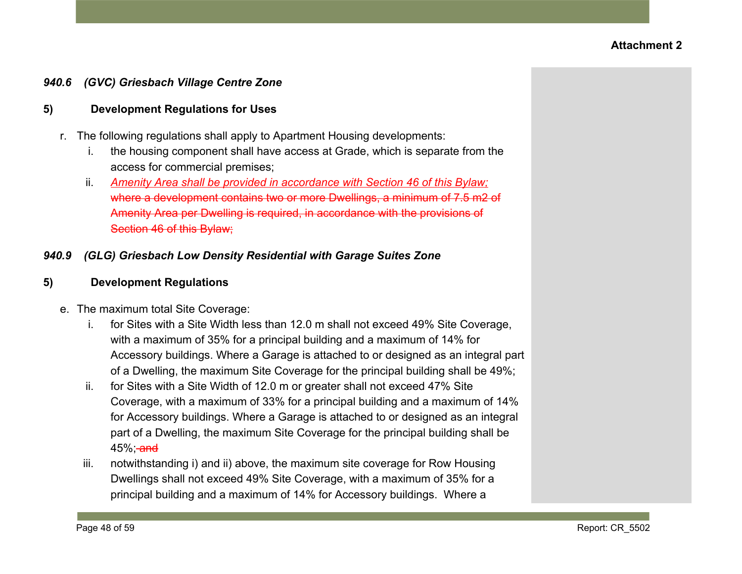### *940.6 (GVC) Griesbach Village Centre Zone*

### **5) Development Regulations for Uses**

- r. The following regulations shall apply to Apartment Housing developments:
	- i. the housing component shall have access at Grade, which is separate from the access for commercial premises;
	- ii. *Amenity Area shall be provided in accordance with Section 46 of this Bylaw;* where a development contains two or more Dwellings, a minimum of 7.5 m2 of Amenity Area per Dwelling is required, in accordance with the provisions of Section 46 of this Bylaw;

### *940.9 (GLG) Griesbach Low Density Residential with Garage Suites Zone*

#### **5) Development Regulations**

- e. The maximum total Site Coverage:
	- i. for Sites with a Site Width less than 12.0 m shall not exceed 49% Site Coverage, with a maximum of 35% for a principal building and a maximum of 14% for Accessory buildings. Where a Garage is attached to or designed as an integral part of a Dwelling, the maximum Site Coverage for the principal building shall be 49%;
	- ii. for Sites with a Site Width of 12.0 m or greater shall not exceed 47% Site Coverage, with a maximum of 33% for a principal building and a maximum of 14% for Accessory buildings. Where a Garage is attached to or designed as an integral part of a Dwelling, the maximum Site Coverage for the principal building shall be  $45%$ ; and
	- iii. notwithstanding i) and ii) above, the maximum site coverage for Row Housing Dwellings shall not exceed 49% Site Coverage, with a maximum of 35% for a principal building and a maximum of 14% for Accessory buildings. Where a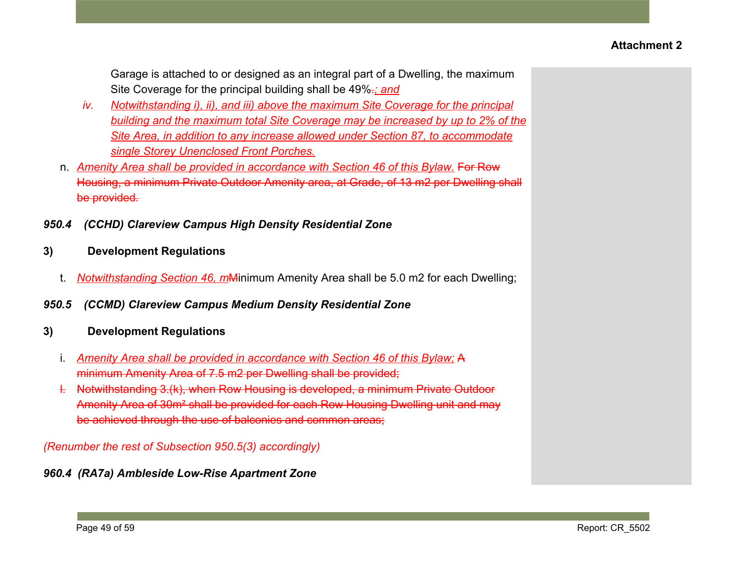Garage is attached to or designed as an integral part of a Dwelling, the maximum Site Coverage for the principal building shall be 49%.*; and*

- *iv. Notwithstanding i), ii), and iii) above the maximum Site Coverage for the principal building and the maximum total Site Coverage may be increased by up to 2% of the Site Area, in addition to any increase allowed under Section 87, to accommodate single Storey Unenclosed Front Porches.*
- n. *Amenity Area shall be provided in accordance with Section 46 of this Bylaw.* For Row Housing, a minimum Private Outdoor Amenity area, at Grade, of 13 m2 per Dwelling shall be provided.
- *950.4 (CCHD) Clareview Campus High Density Residential Zone*

## **3) Development Regulations**

- t. *Notwithstanding Section 46, m*Minimum Amenity Area shall be 5.0 m2 for each Dwelling;
- *950.5 (CCMD) Clareview Campus Medium Density Residential Zone*
- **3) Development Regulations**
	- i. *Amenity Area shall be provided in accordance with Section 46 of this Bylaw;* A minimum Amenity Area of 7.5 m2 per Dwelling shall be provided;
	- l. Notwithstanding 3.(k), when Row Housing is developed, a minimum Private Outdoor Amenity Area of 30m² shall be provided for each Row Housing Dwelling unit and may be achieved through the use of balconies and common areas;

*(Renumber the rest of Subsection 950.5(3) accordingly)*

# *960.4 (RA7a) Ambleside Low-Rise Apartment Zone*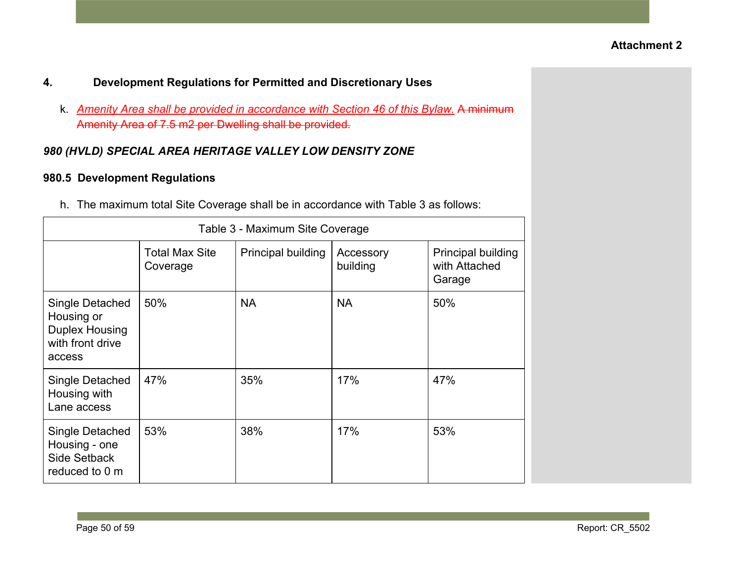- **4. Development Regulations for Permitted and Discretionary Uses**
	- k. *Amenity Area shall be provided in accordance with Section 46 of this Bylaw.* A minimum Amenity Area of 7.5 m2 per Dwelling shall be provided.

## *980 (HVLD) SPECIAL AREA HERITAGE VALLEY LOW DENSITY ZONE*

## **980.5 Development Regulations**

h. The maximum total Site Coverage shall be in accordance with Table 3 as follows:

|                                                                                      | Table 3 - Maximum Site Coverage   |                    |                       |                                               |
|--------------------------------------------------------------------------------------|-----------------------------------|--------------------|-----------------------|-----------------------------------------------|
|                                                                                      | <b>Total Max Site</b><br>Coverage | Principal building | Accessory<br>building | Principal building<br>with Attached<br>Garage |
| Single Detached<br>Housing or<br><b>Duplex Housing</b><br>with front drive<br>access | 50%                               | <b>NA</b>          | <b>NA</b>             | 50%                                           |
| Single Detached<br>Housing with<br>Lane access                                       | 47%                               | 35%                | 17%                   | 47%                                           |
| Single Detached<br>Housing - one<br>Side Setback<br>reduced to 0 m                   | 53%                               | 38%                | 17%                   | 53%                                           |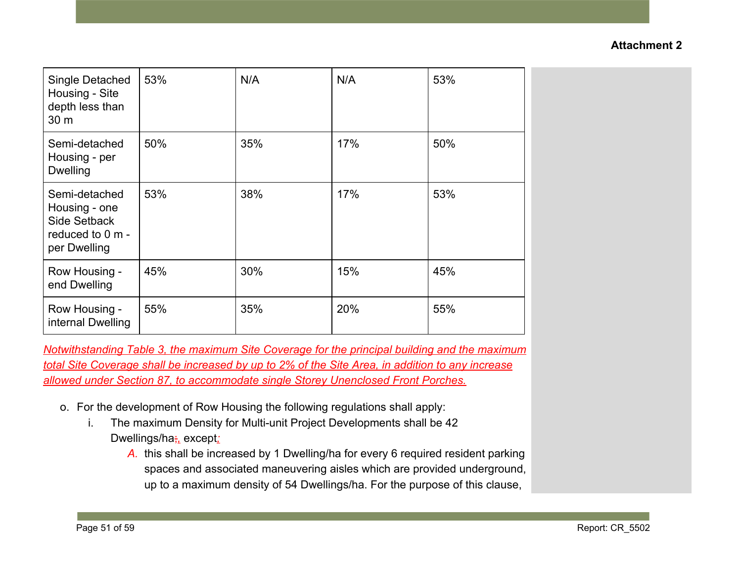| Single Detached<br>Housing - Site<br>depth less than<br>30 m                              | 53% | N/A | N/A | 53% |
|-------------------------------------------------------------------------------------------|-----|-----|-----|-----|
| Semi-detached<br>Housing - per<br><b>Dwelling</b>                                         | 50% | 35% | 17% | 50% |
| Semi-detached<br>Housing - one<br><b>Side Setback</b><br>reduced to 0 m -<br>per Dwelling | 53% | 38% | 17% | 53% |
| Row Housing -<br>end Dwelling                                                             | 45% | 30% | 15% | 45% |
| Row Housing -<br>internal Dwelling                                                        | 55% | 35% | 20% | 55% |

*Notwithstanding Table 3, the maximum Site Coverage for the principal building and the maximum total Site Coverage shall be increased by up to 2% of the Site Area, in addition to any increase allowed under Section 87, to accommodate single Storey Unenclosed Front Porches.*

- o. For the development of Row Housing the following regulations shall apply:
	- i. The maximum Density for Multi-unit Project Developments shall be 42 Dwellings/ha;*,* except*;*
		- *A.* this shall be increased by 1 Dwelling/ha for every 6 required resident parking spaces and associated maneuvering aisles which are provided underground, up to a maximum density of 54 Dwellings/ha. For the purpose of this clause,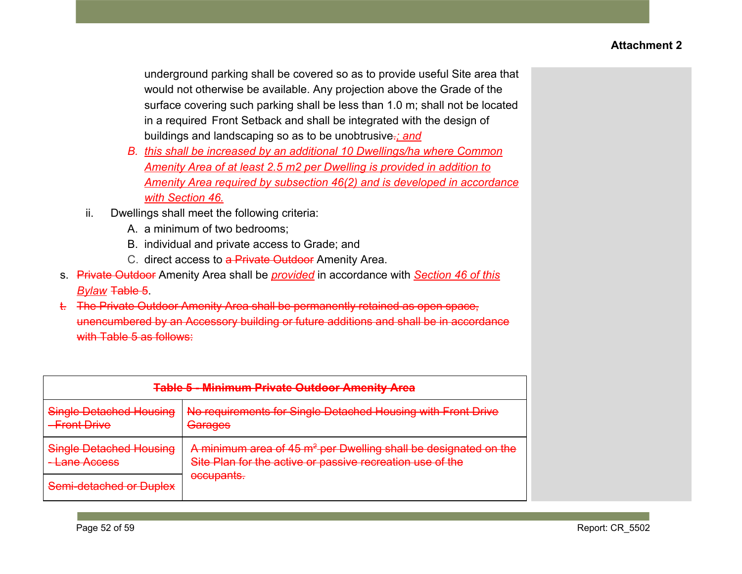underground parking shall be covered so as to provide useful Site area that would not otherwise be available. Any projection above the Grade of the surface covering such parking shall be less than 1.0 m; shall not be located in a required Front Setback and shall be integrated with the design of buildings and landscaping so as to be unobtrusive.*; and*

- *B. this shall be increased by an additional 10 Dwellings/ha where Common Amenity Area of at least 2.5 m2 per Dwelling is provided in addition to Amenity Area required by subsection 46(2) and is developed in accordance with Section 46.*
- ii. Dwellings shall meet the following criteria:
	- A. a minimum of two bedrooms;
	- B. individual and private access to Grade; and
	- C. direct access to a Private Outdoor Amenity Area.
- s. Private Outdoor Amenity Area shall be *provided* in accordance with *Section 46 of this Bylaw* Table 5.
- t. The Private Outdoor Amenity Area shall be permanently retained as open space, unencumbered by an Accessory building or future additions and shall be in accordance with Table 5 as follows:

| <b>Table 5 - Minimum Private Outdoor Amenity Area</b>                   |                                                                                                                                          |  |  |
|-------------------------------------------------------------------------|------------------------------------------------------------------------------------------------------------------------------------------|--|--|
| <b>Single Detached Housing</b><br>- Front Drive                         | No requirements for Single Detached Housing with Front Drive<br>Garages                                                                  |  |  |
| <b>Single Detached Housing</b><br>Lane Accoss<br><del>Lanc Auccoo</del> | A minimum area of 45 m <sup>2</sup> per Dwelling shall be designated on the<br>Site Plan for the active or passive recreation use of the |  |  |
| Semi-detached or Duplex                                                 | <u>accupante</u><br><del>occupamo.</del>                                                                                                 |  |  |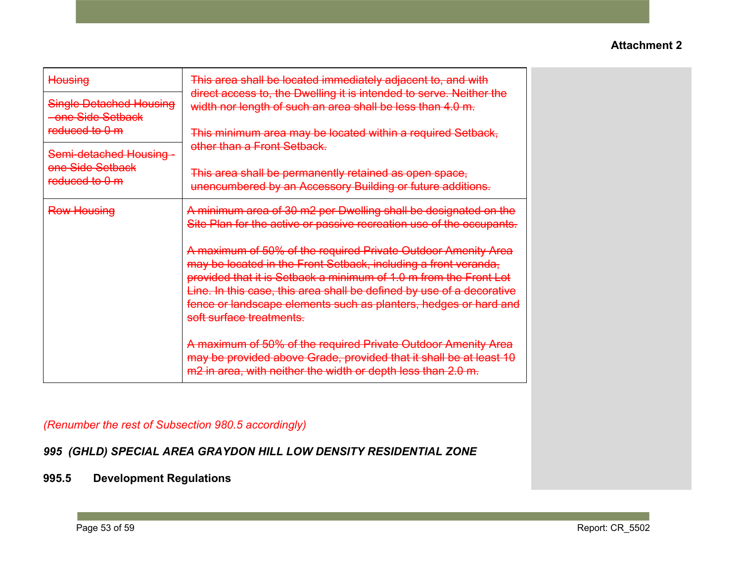| <b>Housing</b>                                      | This area shall be located immediately adjacent to, and with<br>direct access to, the Dwelling it is intended to serve. Neither the                                                                                                                                                                                                                                            |
|-----------------------------------------------------|--------------------------------------------------------------------------------------------------------------------------------------------------------------------------------------------------------------------------------------------------------------------------------------------------------------------------------------------------------------------------------|
| <b>Single Detached Housing</b><br>-one Side Setback | width nor length of such an area shall be less than 4.0 m.                                                                                                                                                                                                                                                                                                                     |
| reduced to 0 m                                      | This minimum area may be located within a required Setback,<br>other than a Front Setback.                                                                                                                                                                                                                                                                                     |
| Semi-detached Housing -<br>one Side Setback         | This area shall be permanently retained as open space,                                                                                                                                                                                                                                                                                                                         |
| reduced to 0 m                                      | unencumbered by an Accessory Building or future additions.                                                                                                                                                                                                                                                                                                                     |
| <b>Row Housing</b>                                  | A minimum area of 30 m2 per Dwelling shall be designated on the<br>Site Plan for the active or passive recreation use of the occupants.                                                                                                                                                                                                                                        |
|                                                     | A maximum of 50% of the required Private Outdoor Amenity Area<br>may be located in the Front Setback, including a front veranda,<br>provided that it is Setback a minimum of 1.0 m from the Front Lot<br>Line. In this case, this area shall be defined by use of a decorative<br>fence or landscape elements such as planters, hedges or hard and<br>soft surface treatments. |
|                                                     | A maximum of 50% of the required Private Outdoor Amenity Area<br>may be provided above Grade, provided that it shall be at least 10<br>m2 in area, with neither the width or depth less than 2.0 m.                                                                                                                                                                            |

## *(Renumber the rest of Subsection 980.5 accordingly)*

# *995 (GHLD) SPECIAL AREA GRAYDON HILL LOW DENSITY RESIDENTIAL ZONE*

# **995.5 Development Regulations**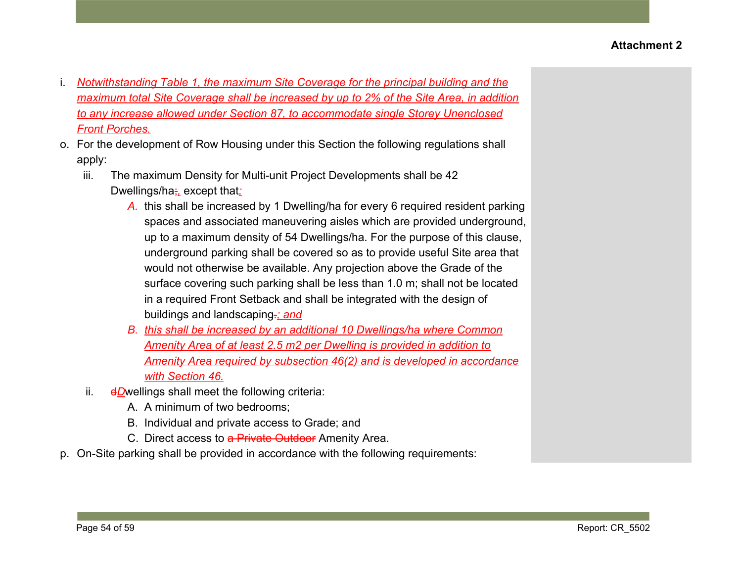- i. *Notwithstanding Table 1, the maximum Site Coverage for the principal building and the maximum total Site Coverage shall be increased by up to 2% of the Site Area, in addition to any increase allowed under Section 87, to accommodate single Storey Unenclosed Front Porches.*
- o. For the development of Row Housing under this Section the following regulations shall apply:
	- iii. The maximum Density for Multi-unit Project Developments shall be 42 Dwellings/ha;*,* except that*;*
		- *A.* this shall be increased by 1 Dwelling/ha for every 6 required resident parking spaces and associated maneuvering aisles which are provided underground, up to a maximum density of 54 Dwellings/ha. For the purpose of this clause, underground parking shall be covered so as to provide useful Site area that would not otherwise be available. Any projection above the Grade of the surface covering such parking shall be less than 1.0 m; shall not be located in a required Front Setback and shall be integrated with the design of buildings and landscaping.*; and*
		- *B. this shall be increased by an additional 10 Dwellings/ha where Common Amenity Area of at least 2.5 m2 per Dwelling is provided in addition to Amenity Area required by subsection 46(2) and is developed in accordance with Section 46.*
	- ii. dDwellings shall meet the following criteria:
		- A. A minimum of two bedrooms;
		- B. Individual and private access to Grade; and
		- C. Direct access to a Private Outdoor Amenity Area.
- p. On-Site parking shall be provided in accordance with the following requirements: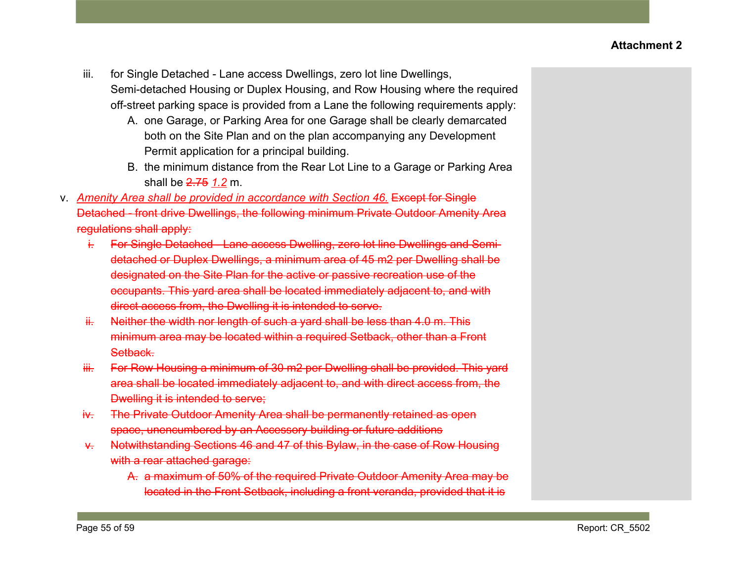- iii. for Single Detached Lane access Dwellings, zero lot line Dwellings, Semi-detached Housing or Duplex Housing, and Row Housing where the required off-street parking space is provided from a Lane the following requirements apply:
	- A. one Garage, or Parking Area for one Garage shall be clearly demarcated both on the Site Plan and on the plan accompanying any Development Permit application for a principal building.
	- B. the minimum distance from the Rear Lot Line to a Garage or Parking Area shall be 2.75 *1.2* m.
- v. *Amenity Area shall be provided in accordance with Section 46.* Except for Single Detached - front drive Dwellings, the following minimum Private Outdoor Amenity Area regulations shall apply:
	- i. For Single Detached Lane access Dwelling, zero lot line Dwellings and Semidetached or Duplex Dwellings, a minimum area of 45 m2 per Dwelling shall be designated on the Site Plan for the active or passive recreation use of the occupants. This yard area shall be located immediately adjacent to, and with direct access from, the Dwelling it is intended to serve.
	- $ii.$  Neither the width nor length of such a yard shall be less than 4.0 m. This minimum area may be located within a required Setback, other than a Front Setback.
	- iii. For Row Housing a minimum of 30 m2 per Dwelling shall be provided. This yard area shall be located immediately adjacent to, and with direct access from, the Dwelling it is intended to serve;
	- iv. The Private Outdoor Amenity Area shall be permanently retained as open space, unencumbered by an Accessory building or future additions
	- v. Notwithstanding Sections 46 and 47 of this Bylaw, in the case of Row Housing with a rear attached garage:
		- A. a maximum of 50% of the required Private Outdoor Amenity Area may be located in the Front Setback, including a front veranda, provided that it is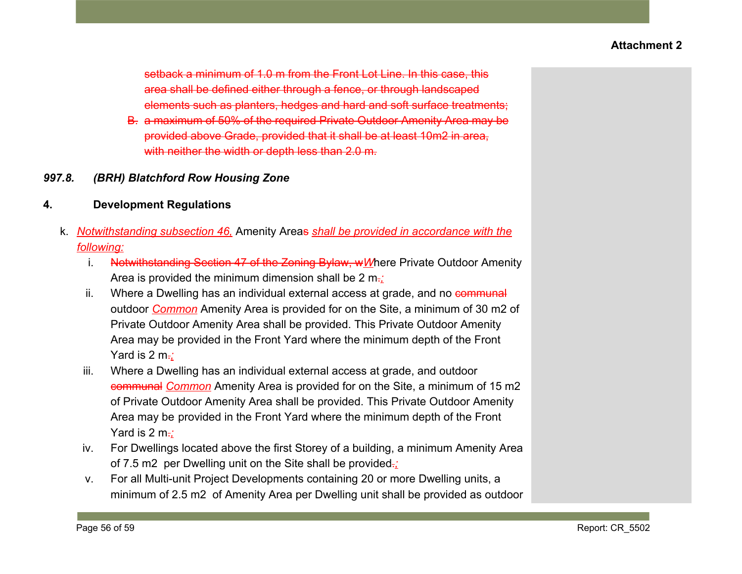setback a minimum of 1.0 m from the Front Lot Line. In this case, this area shall be defined either through a fence, or through landscaped elements such as planters, hedges and hard and soft surface treatments;

- B. a maximum of 50% of the required Private Outdoor Amenity Area may be provided above Grade, provided that it shall be at least 10m2 in area, with neither the width or depth less than 2.0 m.
- *997.8. (BRH) Blatchford Row Housing Zone*
- **4. Development Regulations**
	- k. *Notwithstanding subsection 46,* Amenity Areas *shall be provided in accordance with the following:*
		- i. Notwithstanding Section 47 of the Zoning Bylaw, w*W*here Private Outdoor Amenity Area is provided the minimum dimension shall be 2 m.*;*
		- ii. Where a Dwelling has an individual external access at grade, and no communal outdoor *Common* Amenity Area is provided for on the Site, a minimum of 30 m2 of Private Outdoor Amenity Area shall be provided. This Private Outdoor Amenity Area may be provided in the Front Yard where the minimum depth of the Front Yard is 2 m<sup>-2</sup>
		- iii. Where a Dwelling has an individual external access at grade, and outdoor communal *Common* Amenity Area is provided for on the Site, a minimum of 15 m2 of Private Outdoor Amenity Area shall be provided. This Private Outdoor Amenity Area may be provided in the Front Yard where the minimum depth of the Front Yard is 2 m<sup>-2</sup>
		- iv. For Dwellings located above the first Storey of a building, a minimum Amenity Area of 7.5 m2 per Dwelling unit on the Site shall be provided.*;*
		- v. For all Multi-unit Project Developments containing 20 or more Dwelling units, a minimum of 2.5 m2 of Amenity Area per Dwelling unit shall be provided as outdoor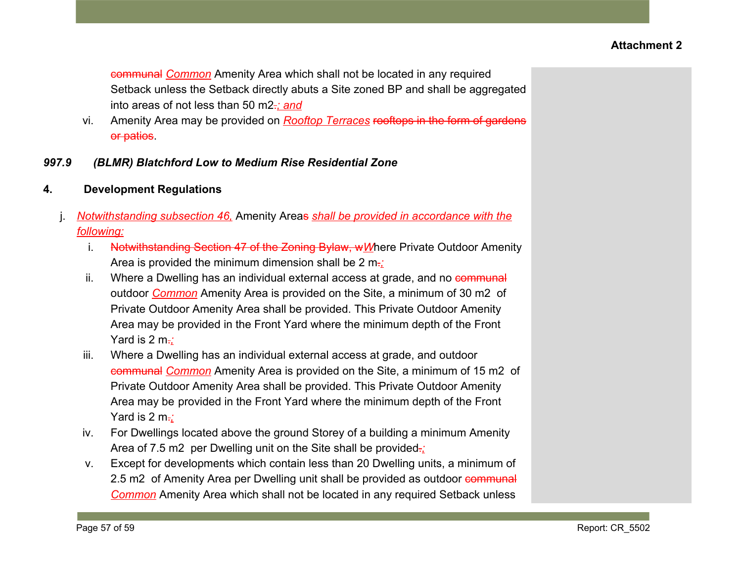communal *Common* Amenity Area which shall not be located in any required Setback unless the Setback directly abuts a Site zoned BP and shall be aggregated into areas of not less than 50 m2.*; and*

- vi. Amenity Area may be provided on *Rooftop Terraces* rooftops in the form of gardens or patios.
- *997.9 (BLMR) Blatchford Low to Medium Rise Residential Zone*
- **4. Development Regulations**
	- j. *Notwithstanding subsection 46,* Amenity Areas *shall be provided in accordance with the following:*
		- i. Notwithstanding Section 47 of the Zoning Bylaw, wWhere Private Outdoor Amenity Area is provided the minimum dimension shall be 2 m.*;*
		- ii. Where a Dwelling has an individual external access at grade, and no communal outdoor *Common* Amenity Area is provided on the Site, a minimum of 30 m2 of Private Outdoor Amenity Area shall be provided. This Private Outdoor Amenity Area may be provided in the Front Yard where the minimum depth of the Front Yard is 2 m<sup>-2</sup>
		- iii. Where a Dwelling has an individual external access at grade, and outdoor communal *Common* Amenity Area is provided on the Site, a minimum of 15 m2 of Private Outdoor Amenity Area shall be provided. This Private Outdoor Amenity Area may be provided in the Front Yard where the minimum depth of the Front Yard is 2 m<sup>-2</sup>
		- iv. For Dwellings located above the ground Storey of a building a minimum Amenity Area of 7.5 m2 per Dwelling unit on the Site shall be provided.*;*
		- v. Except for developments which contain less than 20 Dwelling units, a minimum of 2.5 m2 of Amenity Area per Dwelling unit shall be provided as outdoor communal *Common* Amenity Area which shall not be located in any required Setback unless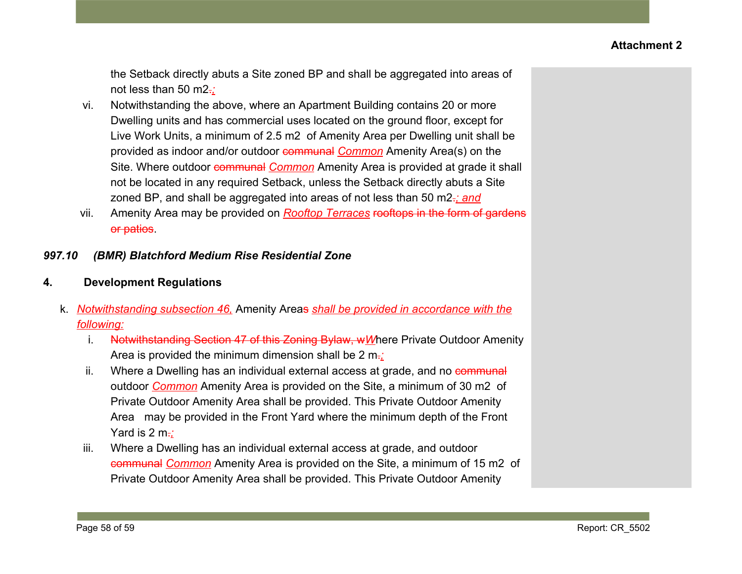the Setback directly abuts a Site zoned BP and shall be aggregated into areas of not less than 50 m2.*;*

- vi. Notwithstanding the above, where an Apartment Building contains 20 or more Dwelling units and has commercial uses located on the ground floor, except for Live Work Units, a minimum of 2.5 m2 of Amenity Area per Dwelling unit shall be provided as indoor and/or outdoor communal *Common* Amenity Area(s) on the Site. Where outdoor **communal** *Common* Amenity Area is provided at grade it shall not be located in any required Setback, unless the Setback directly abuts a Site zoned BP, and shall be aggregated into areas of not less than 50 m2.*; and*
- vii. Amenity Area may be provided on *Rooftop Terraces* rooftops in the form of gardens or patios.

### *997.10 (BMR) Blatchford Medium Rise Residential Zone*

### **4. Development Regulations**

- k. *Notwithstanding subsection 46,* Amenity Areas *shall be provided in accordance with the following:*
	- i. Notwithstanding Section 47 of this Zoning Bylaw, w*W*here Private Outdoor Amenity Area is provided the minimum dimension shall be 2 m.*;*
	- ii. Where a Dwelling has an individual external access at grade, and no communal outdoor *Common* Amenity Area is provided on the Site, a minimum of 30 m2 of Private Outdoor Amenity Area shall be provided. This Private Outdoor Amenity Area may be provided in the Front Yard where the minimum depth of the Front Yard is 2 m<sup>-2</sup>
	- iii. Where a Dwelling has an individual external access at grade, and outdoor communal *Common* Amenity Area is provided on the Site, a minimum of 15 m2 of Private Outdoor Amenity Area shall be provided. This Private Outdoor Amenity